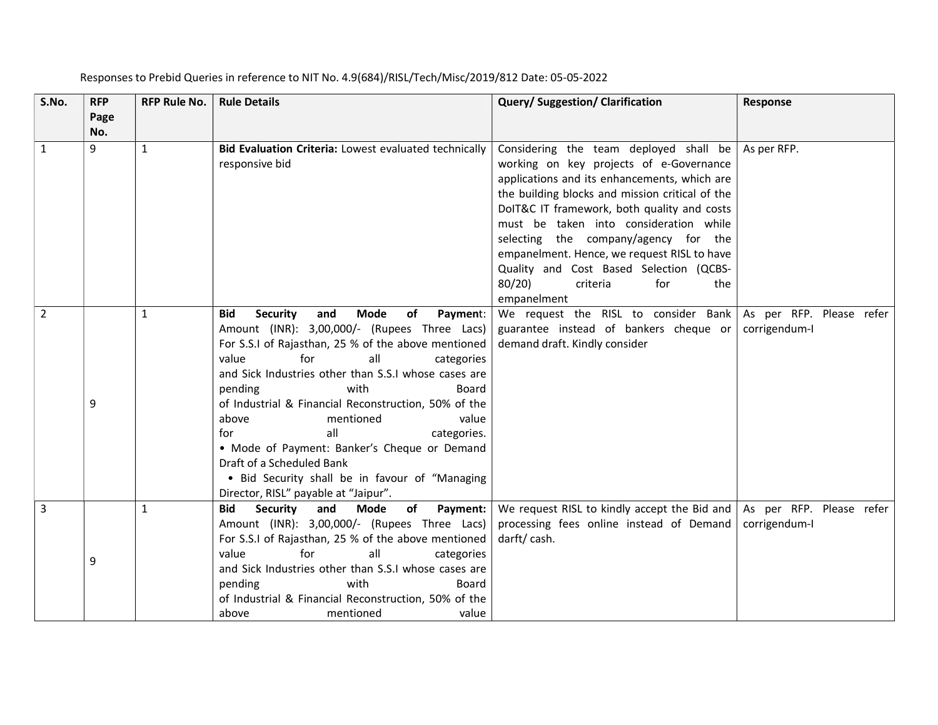| S.No.          | <b>RFP</b><br>Page | <b>RFP Rule No.</b> | <b>Rule Details</b>                                                                                                                                                                                                                                                                                                                                                                                                                                                                                                                                                                       | Query/Suggestion/Clarification                                                                                                                                                                                                                                                                                                                                                                                                                                    | Response                                  |
|----------------|--------------------|---------------------|-------------------------------------------------------------------------------------------------------------------------------------------------------------------------------------------------------------------------------------------------------------------------------------------------------------------------------------------------------------------------------------------------------------------------------------------------------------------------------------------------------------------------------------------------------------------------------------------|-------------------------------------------------------------------------------------------------------------------------------------------------------------------------------------------------------------------------------------------------------------------------------------------------------------------------------------------------------------------------------------------------------------------------------------------------------------------|-------------------------------------------|
|                | No.                |                     |                                                                                                                                                                                                                                                                                                                                                                                                                                                                                                                                                                                           |                                                                                                                                                                                                                                                                                                                                                                                                                                                                   |                                           |
| 1              | 9                  | $\mathbf{1}$        | Bid Evaluation Criteria: Lowest evaluated technically<br>responsive bid                                                                                                                                                                                                                                                                                                                                                                                                                                                                                                                   | Considering the team deployed shall be<br>working on key projects of e-Governance<br>applications and its enhancements, which are<br>the building blocks and mission critical of the<br>DoIT&C IT framework, both quality and costs<br>must be taken into consideration while<br>selecting the company/agency for the<br>empanelment. Hence, we request RISL to have<br>Quality and Cost Based Selection (QCBS-<br>80/20<br>criteria<br>for<br>the<br>empanelment | As per RFP.                               |
| $\overline{2}$ | 9                  | 1                   | Mode<br><b>Security</b><br>and<br>of<br>Payment:<br><b>Bid</b><br>Amount (INR): 3,00,000/- (Rupees Three Lacs)<br>For S.S.I of Rajasthan, 25 % of the above mentioned<br>for<br>all<br>value<br>categories<br>and Sick Industries other than S.S.I whose cases are<br>pending<br>with<br>Board<br>of Industrial & Financial Reconstruction, 50% of the<br>above<br>mentioned<br>value<br>all<br>for<br>categories.<br>• Mode of Payment: Banker's Cheque or Demand<br>Draft of a Scheduled Bank<br>• Bid Security shall be in favour of "Managing<br>Director, RISL" payable at "Jaipur". | We request the RISL to consider Bank<br>guarantee instead of bankers cheque or<br>demand draft. Kindly consider                                                                                                                                                                                                                                                                                                                                                   | As per RFP. Please refer<br>corrigendum-I |
| 3              | 9                  | $\mathbf{1}$        | <b>Security</b><br>and<br><b>of</b><br><b>Bid</b><br>Mode<br>Payment:<br>Amount (INR): 3,00,000/- (Rupees Three Lacs)<br>For S.S.I of Rajasthan, 25 % of the above mentioned<br>for<br>all<br>value<br>categories<br>and Sick Industries other than S.S.I whose cases are<br>pending<br>with<br>Board<br>of Industrial & Financial Reconstruction, 50% of the<br>above<br>mentioned<br>value                                                                                                                                                                                              | We request RISL to kindly accept the Bid and<br>processing fees online instead of Demand<br>darft/cash.                                                                                                                                                                                                                                                                                                                                                           | As per RFP. Please refer<br>corrigendum-I |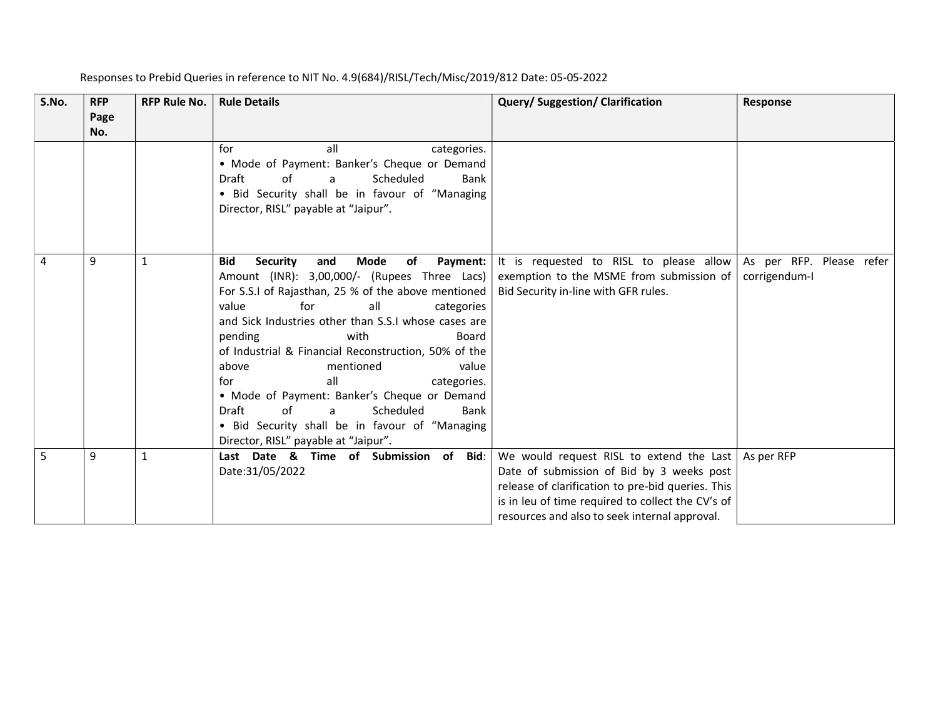| S.No. | <b>RFP</b>  | <b>RFP Rule No.</b> | <b>Rule Details</b>                                                                                                                                                                                                                                                                                                                                                                                                                                                                                                                                                                                   | <b>Query/Suggestion/Clarification</b>                                                                                                                                                                                                            | <b>Response</b>                           |
|-------|-------------|---------------------|-------------------------------------------------------------------------------------------------------------------------------------------------------------------------------------------------------------------------------------------------------------------------------------------------------------------------------------------------------------------------------------------------------------------------------------------------------------------------------------------------------------------------------------------------------------------------------------------------------|--------------------------------------------------------------------------------------------------------------------------------------------------------------------------------------------------------------------------------------------------|-------------------------------------------|
|       | Page<br>No. |                     |                                                                                                                                                                                                                                                                                                                                                                                                                                                                                                                                                                                                       |                                                                                                                                                                                                                                                  |                                           |
|       |             |                     | all<br>for<br>categories.<br>• Mode of Payment: Banker's Cheque or Demand<br>Draft<br>Scheduled<br>Bank<br>of<br>a<br>· Bid Security shall be in favour of "Managing<br>Director, RISL" payable at "Jaipur".                                                                                                                                                                                                                                                                                                                                                                                          |                                                                                                                                                                                                                                                  |                                           |
| 4     | 9           | 1                   | <b>Security</b><br>Mode<br>of<br>Payment:<br><b>Bid</b><br>and<br>Amount (INR): 3,00,000/- (Rupees Three Lacs)<br>For S.S.I of Rajasthan, 25 % of the above mentioned<br>for<br>value<br>all<br>categories<br>and Sick Industries other than S.S.I whose cases are<br>pending<br>with<br>Board<br>of Industrial & Financial Reconstruction, 50% of the<br>mentioned<br>value<br>above<br>all<br>for<br>categories.<br>• Mode of Payment: Banker's Cheque or Demand<br>of<br>Scheduled<br>Draft<br>Bank<br>a<br>• Bid Security shall be in favour of "Managing<br>Director, RISL" payable at "Jaipur". | It is requested to RISL to please allow<br>exemption to the MSME from submission of<br>Bid Security in-line with GFR rules.                                                                                                                      | As per RFP. Please refer<br>corrigendum-I |
| 5     | 9           |                     | Last Date & Time of Submission of Bid:<br>Date:31/05/2022                                                                                                                                                                                                                                                                                                                                                                                                                                                                                                                                             | We would request RISL to extend the Last<br>Date of submission of Bid by 3 weeks post<br>release of clarification to pre-bid queries. This<br>is in leu of time required to collect the CV's of<br>resources and also to seek internal approval. | As per RFP                                |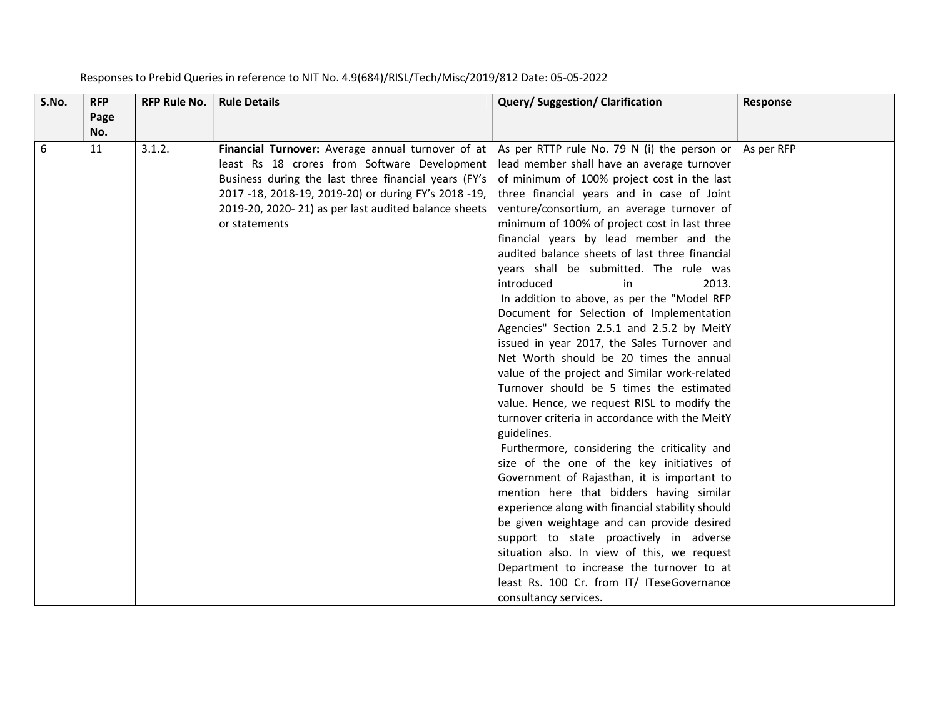| S.No. | <b>RFP</b><br>Page | <b>RFP Rule No.</b> | <b>Rule Details</b>                                  | Query/ Suggestion/ Clarification                 | Response   |
|-------|--------------------|---------------------|------------------------------------------------------|--------------------------------------------------|------------|
|       | No.                |                     |                                                      |                                                  |            |
| 6     | 11                 | 3.1.2.              | Financial Turnover: Average annual turnover of at    | As per RTTP rule No. 79 N (i) the person or      | As per RFP |
|       |                    |                     | least Rs 18 crores from Software Development         | lead member shall have an average turnover       |            |
|       |                    |                     | Business during the last three financial years (FY's | of minimum of 100% project cost in the last      |            |
|       |                    |                     | 2017 -18, 2018-19, 2019-20) or during FY's 2018 -19, | three financial years and in case of Joint       |            |
|       |                    |                     | 2019-20, 2020-21) as per last audited balance sheets | venture/consortium, an average turnover of       |            |
|       |                    |                     | or statements                                        | minimum of 100% of project cost in last three    |            |
|       |                    |                     |                                                      | financial years by lead member and the           |            |
|       |                    |                     |                                                      | audited balance sheets of last three financial   |            |
|       |                    |                     |                                                      | years shall be submitted. The rule was           |            |
|       |                    |                     |                                                      | introduced<br>in<br>2013.                        |            |
|       |                    |                     |                                                      | In addition to above, as per the "Model RFP      |            |
|       |                    |                     |                                                      | Document for Selection of Implementation         |            |
|       |                    |                     |                                                      | Agencies" Section 2.5.1 and 2.5.2 by MeitY       |            |
|       |                    |                     |                                                      | issued in year 2017, the Sales Turnover and      |            |
|       |                    |                     |                                                      | Net Worth should be 20 times the annual          |            |
|       |                    |                     |                                                      | value of the project and Similar work-related    |            |
|       |                    |                     |                                                      | Turnover should be 5 times the estimated         |            |
|       |                    |                     |                                                      | value. Hence, we request RISL to modify the      |            |
|       |                    |                     |                                                      | turnover criteria in accordance with the MeitY   |            |
|       |                    |                     |                                                      | guidelines.                                      |            |
|       |                    |                     |                                                      | Furthermore, considering the criticality and     |            |
|       |                    |                     |                                                      | size of the one of the key initiatives of        |            |
|       |                    |                     |                                                      | Government of Rajasthan, it is important to      |            |
|       |                    |                     |                                                      | mention here that bidders having similar         |            |
|       |                    |                     |                                                      | experience along with financial stability should |            |
|       |                    |                     |                                                      | be given weightage and can provide desired       |            |
|       |                    |                     |                                                      | support to state proactively in adverse          |            |
|       |                    |                     |                                                      | situation also. In view of this, we request      |            |
|       |                    |                     |                                                      | Department to increase the turnover to at        |            |
|       |                    |                     |                                                      | least Rs. 100 Cr. from IT/ ITeseGovernance       |            |
|       |                    |                     |                                                      | consultancy services.                            |            |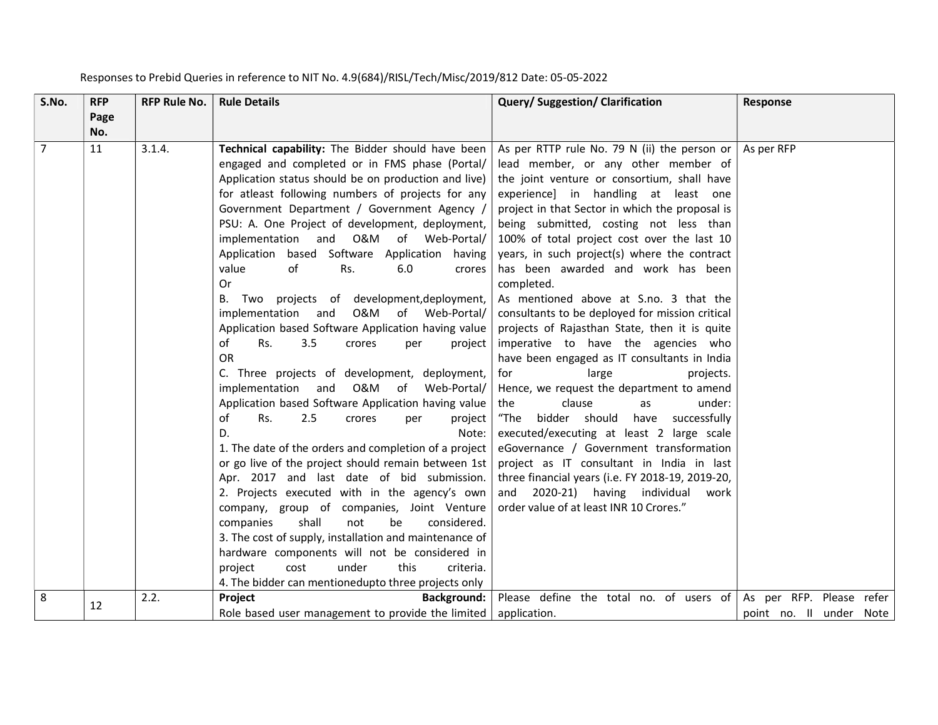| S.No.          | <b>RFP</b><br>Page | <b>RFP Rule No.</b> | <b>Rule Details</b>                                                                                                                                                                                                                                                                                                                                                                                                                                                                                                                                                                                                                                                                                                                                         | Query/ Suggestion/ Clarification                                                                                                                                                                                                                                                                                                                                                                                                                                                                                                                                                                                | Response                                            |
|----------------|--------------------|---------------------|-------------------------------------------------------------------------------------------------------------------------------------------------------------------------------------------------------------------------------------------------------------------------------------------------------------------------------------------------------------------------------------------------------------------------------------------------------------------------------------------------------------------------------------------------------------------------------------------------------------------------------------------------------------------------------------------------------------------------------------------------------------|-----------------------------------------------------------------------------------------------------------------------------------------------------------------------------------------------------------------------------------------------------------------------------------------------------------------------------------------------------------------------------------------------------------------------------------------------------------------------------------------------------------------------------------------------------------------------------------------------------------------|-----------------------------------------------------|
| $\overline{7}$ | No.<br>11          | 3.1.4.              | Technical capability: The Bidder should have been<br>engaged and completed or in FMS phase (Portal/<br>Application status should be on production and live)<br>for atleast following numbers of projects for any<br>Government Department / Government Agency /<br>PSU: A. One Project of development, deployment,<br>implementation and O&M of Web-Portal/<br>Application based Software Application having<br>value<br>of<br>Rs.<br>6.0<br>crores<br>Or<br>projects of development, deployment,<br>Two<br>В.<br>implementation and<br>O&M of Web-Portal/<br>Application based Software Application having value<br>of<br>Rs.<br>3.5<br>crores<br>project<br>per                                                                                           | As per RTTP rule No. 79 N (ii) the person or<br>lead member, or any other member of<br>the joint venture or consortium, shall have<br>experience] in handling at least one<br>project in that Sector in which the proposal is<br>being submitted, costing not less than<br>100% of total project cost over the last 10<br>years, in such project(s) where the contract<br>has been awarded and work has been<br>completed.<br>As mentioned above at S.no. 3 that the<br>consultants to be deployed for mission critical<br>projects of Rajasthan State, then it is quite<br>imperative to have the agencies who | As per RFP                                          |
|                |                    |                     | <b>OR</b><br>C. Three projects of development, deployment,<br>implementation and O&M of Web-Portal/<br>Application based Software Application having value<br>of<br>Rs.<br>2.5<br>crores<br>project<br>per<br>D.<br>Note:<br>1. The date of the orders and completion of a project<br>or go live of the project should remain between 1st<br>Apr. 2017 and last date of bid submission.<br>2. Projects executed with in the agency's own<br>company, group of companies, Joint Venture<br>shall<br>not<br>be<br>companies<br>considered.<br>3. The cost of supply, installation and maintenance of<br>hardware components will not be considered in<br>under<br>this<br>project<br>cost<br>criteria.<br>4. The bidder can mentionedupto three projects only | have been engaged as IT consultants in India<br>large<br>for<br>projects.<br>Hence, we request the department to amend<br>clause<br>under:<br>the<br>as<br>"The<br>bidder should<br>have<br>successfully<br>executed/executing at least 2 large scale<br>eGovernance / Government transformation<br>project as IT consultant in India in last<br>three financial years (i.e. FY 2018-19, 2019-20,<br>and 2020-21) having individual<br>work<br>order value of at least INR 10 Crores."                                                                                                                          |                                                     |
| 8              | 12                 | 2.2.                | Background:<br>Project<br>Role based user management to provide the limited                                                                                                                                                                                                                                                                                                                                                                                                                                                                                                                                                                                                                                                                                 | Please define the total no. of users of<br>application.                                                                                                                                                                                                                                                                                                                                                                                                                                                                                                                                                         | As per RFP. Please refer<br>point no. Il under Note |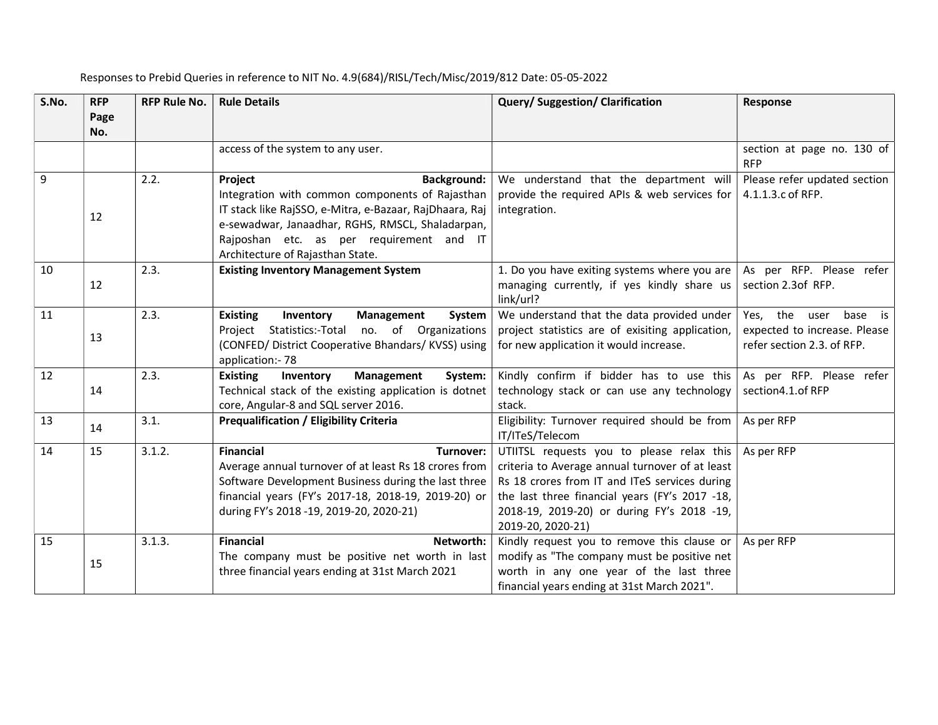| S.No. | <b>RFP</b><br>Page | <b>RFP Rule No.</b> | <b>Rule Details</b>                                                                                                                                                                                                                                                             | Query/Suggestion/Clarification                                                                                                                                                                                                                                     | Response                                                                               |
|-------|--------------------|---------------------|---------------------------------------------------------------------------------------------------------------------------------------------------------------------------------------------------------------------------------------------------------------------------------|--------------------------------------------------------------------------------------------------------------------------------------------------------------------------------------------------------------------------------------------------------------------|----------------------------------------------------------------------------------------|
|       | No.                |                     |                                                                                                                                                                                                                                                                                 |                                                                                                                                                                                                                                                                    |                                                                                        |
|       |                    |                     | access of the system to any user.                                                                                                                                                                                                                                               |                                                                                                                                                                                                                                                                    | section at page no. 130 of<br><b>RFP</b>                                               |
| 9     | 12                 | 2.2.                | Project<br><b>Background:</b><br>Integration with common components of Rajasthan<br>IT stack like RajSSO, e-Mitra, e-Bazaar, RajDhaara, Raj<br>e-sewadwar, Janaadhar, RGHS, RMSCL, Shaladarpan,<br>Rajposhan etc. as per requirement and IT<br>Architecture of Rajasthan State. | We understand that the department will<br>provide the required APIs & web services for<br>integration.                                                                                                                                                             | Please refer updated section<br>4.1.1.3.c of RFP.                                      |
| 10    | 12                 | 2.3.                | <b>Existing Inventory Management System</b>                                                                                                                                                                                                                                     | 1. Do you have exiting systems where you are<br>managing currently, if yes kindly share us<br>link/url?                                                                                                                                                            | As per RFP. Please refer<br>section 2.3of RFP.                                         |
| 11    | 13                 | 2.3.                | <b>Existing</b><br>Inventory<br>Management<br>System<br>Project Statistics:-Total no. of Organizations<br>(CONFED/ District Cooperative Bhandars/ KVSS) using<br>application:- 78                                                                                               | We understand that the data provided under<br>project statistics are of exisiting application,<br>for new application it would increase.                                                                                                                           | Yes, the user<br>base is<br>expected to increase. Please<br>refer section 2.3. of RFP. |
| 12    | 14                 | 2.3.                | <b>Existing</b><br>Management<br>System:<br>Inventory<br>Technical stack of the existing application is dotnet<br>core, Angular-8 and SQL server 2016.                                                                                                                          | Kindly confirm if bidder has to use this<br>technology stack or can use any technology<br>stack.                                                                                                                                                                   | As per RFP. Please refer<br>section4.1.of RFP                                          |
| 13    | 14                 | 3.1.                | <b>Prequalification / Eligibility Criteria</b>                                                                                                                                                                                                                                  | Eligibility: Turnover required should be from<br>IT/ITeS/Telecom                                                                                                                                                                                                   | As per RFP                                                                             |
| 14    | 15                 | 3.1.2.              | <b>Financial</b><br>Turnover:<br>Average annual turnover of at least Rs 18 crores from<br>Software Development Business during the last three<br>financial years (FY's 2017-18, 2018-19, 2019-20) or<br>during FY's 2018 -19, 2019-20, 2020-21)                                 | UTIITSL requests you to please relax this<br>criteria to Average annual turnover of at least<br>Rs 18 crores from IT and ITeS services during<br>the last three financial years (FY's 2017 -18,<br>2018-19, 2019-20) or during FY's 2018 -19,<br>2019-20, 2020-21) | As per RFP                                                                             |
| 15    | 15                 | 3.1.3.              | <b>Financial</b><br>Networth:<br>The company must be positive net worth in last<br>three financial years ending at 31st March 2021                                                                                                                                              | Kindly request you to remove this clause or<br>modify as "The company must be positive net<br>worth in any one year of the last three<br>financial years ending at 31st March 2021".                                                                               | As per RFP                                                                             |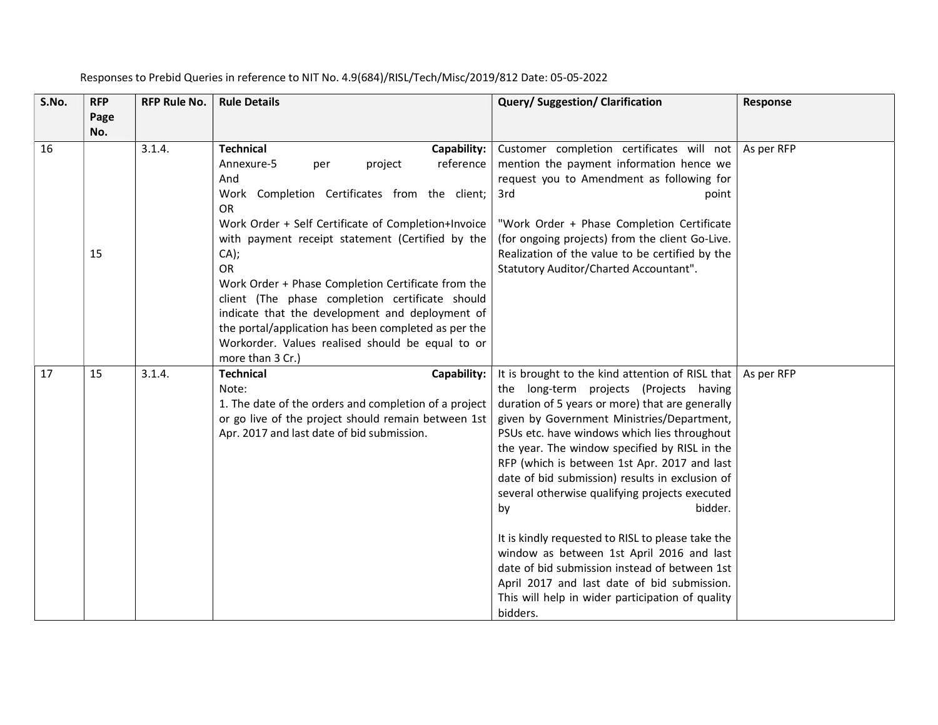| S.No. | <b>RFP</b><br>Page<br>No. | <b>RFP Rule No.</b> | <b>Rule Details</b>                                                                                                                                                                                                                                                                                                                                                                                                                                                                                                                                                           | <b>Query/Suggestion/Clarification</b>                                                                                                                                                                                                                                                                                                                                                                                                                                                                                                                                                                                                                                                                                                 | Response   |
|-------|---------------------------|---------------------|-------------------------------------------------------------------------------------------------------------------------------------------------------------------------------------------------------------------------------------------------------------------------------------------------------------------------------------------------------------------------------------------------------------------------------------------------------------------------------------------------------------------------------------------------------------------------------|---------------------------------------------------------------------------------------------------------------------------------------------------------------------------------------------------------------------------------------------------------------------------------------------------------------------------------------------------------------------------------------------------------------------------------------------------------------------------------------------------------------------------------------------------------------------------------------------------------------------------------------------------------------------------------------------------------------------------------------|------------|
| 16    | 15                        | 3.1.4.              | <b>Technical</b><br>Capability:<br>Annexure-5<br>project<br>reference<br>per<br>And<br>Work Completion Certificates from the client;<br><b>OR</b><br>Work Order + Self Certificate of Completion+Invoice<br>with payment receipt statement (Certified by the<br>CA);<br><b>OR</b><br>Work Order + Phase Completion Certificate from the<br>client (The phase completion certificate should<br>indicate that the development and deployment of<br>the portal/application has been completed as per the<br>Workorder. Values realised should be equal to or<br>more than 3 Cr.) | Customer completion certificates will not<br>mention the payment information hence we<br>request you to Amendment as following for<br>3rd<br>point<br>"Work Order + Phase Completion Certificate<br>(for ongoing projects) from the client Go-Live.<br>Realization of the value to be certified by the<br>Statutory Auditor/Charted Accountant".                                                                                                                                                                                                                                                                                                                                                                                      | As per RFP |
| 17    | 15                        | 3.1.4.              | <b>Technical</b><br>Capability:<br>Note:<br>1. The date of the orders and completion of a project<br>or go live of the project should remain between 1st<br>Apr. 2017 and last date of bid submission.                                                                                                                                                                                                                                                                                                                                                                        | It is brought to the kind attention of RISL that<br>the long-term projects (Projects having<br>duration of 5 years or more) that are generally<br>given by Government Ministries/Department,<br>PSUs etc. have windows which lies throughout<br>the year. The window specified by RISL in the<br>RFP (which is between 1st Apr. 2017 and last<br>date of bid submission) results in exclusion of<br>several otherwise qualifying projects executed<br>bidder.<br>by<br>It is kindly requested to RISL to please take the<br>window as between 1st April 2016 and last<br>date of bid submission instead of between 1st<br>April 2017 and last date of bid submission.<br>This will help in wider participation of quality<br>bidders. | As per RFP |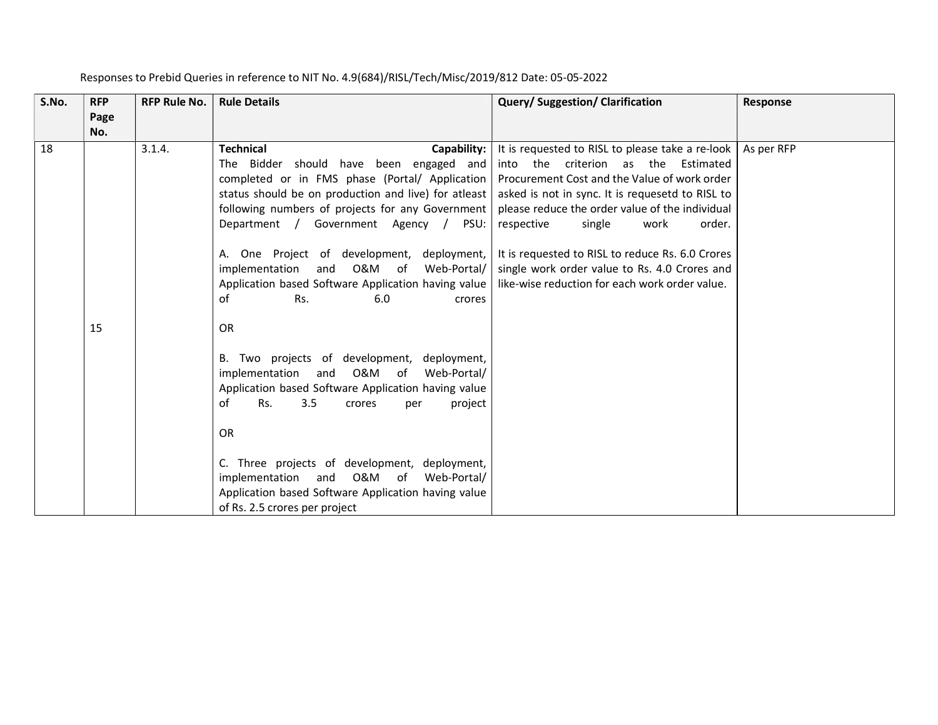| S.No. | <b>RFP</b>  | <b>RFP Rule No.</b> | <b>Rule Details</b>                                                                                                                                                                                                                                                                                                                                                                                                                                                                                                                                                                                                                                                                                                          | Query/Suggestion/Clarification                                                                                                                                                                                                                                                                                                                                                                                                                     | Response   |
|-------|-------------|---------------------|------------------------------------------------------------------------------------------------------------------------------------------------------------------------------------------------------------------------------------------------------------------------------------------------------------------------------------------------------------------------------------------------------------------------------------------------------------------------------------------------------------------------------------------------------------------------------------------------------------------------------------------------------------------------------------------------------------------------------|----------------------------------------------------------------------------------------------------------------------------------------------------------------------------------------------------------------------------------------------------------------------------------------------------------------------------------------------------------------------------------------------------------------------------------------------------|------------|
|       | Page<br>No. |                     |                                                                                                                                                                                                                                                                                                                                                                                                                                                                                                                                                                                                                                                                                                                              |                                                                                                                                                                                                                                                                                                                                                                                                                                                    |            |
| 18    | 15          | 3.1.4.              | <b>Technical</b><br>Capability:<br>The Bidder should have been engaged and<br>completed or in FMS phase (Portal/ Application  <br>status should be on production and live) for atleast<br>following numbers of projects for any Government<br>Department / Government Agency /<br>PSU:<br>One Project of development,<br>deployment,<br>A.<br>0&M<br>Web-Portal/<br>implementation<br>and<br>of<br>Application based Software Application having value<br>Rs.<br>of<br>6.0<br>crores<br><b>OR</b><br>B. Two projects of development,<br>deployment,<br>0&M<br>implementation<br>and<br>of<br>Web-Portal/<br>Application based Software Application having value<br>of<br>Rs.<br>3.5<br>project<br>crores<br>per<br><b>OR</b> | It is requested to RISL to please take a re-look<br>into the criterion as the<br>Estimated<br>Procurement Cost and the Value of work order<br>asked is not in sync. It is requesetd to RISL to<br>please reduce the order value of the individual<br>respective<br>work<br>single<br>order.<br>It is requested to RISL to reduce Rs. 6.0 Crores<br>single work order value to Rs. 4.0 Crores and<br>like-wise reduction for each work order value. | As per RFP |
|       |             |                     | C. Three projects of development, deployment,<br>0&M<br>implementation<br>and<br>of<br>Web-Portal/<br>Application based Software Application having value<br>of Rs. 2.5 crores per project                                                                                                                                                                                                                                                                                                                                                                                                                                                                                                                                   |                                                                                                                                                                                                                                                                                                                                                                                                                                                    |            |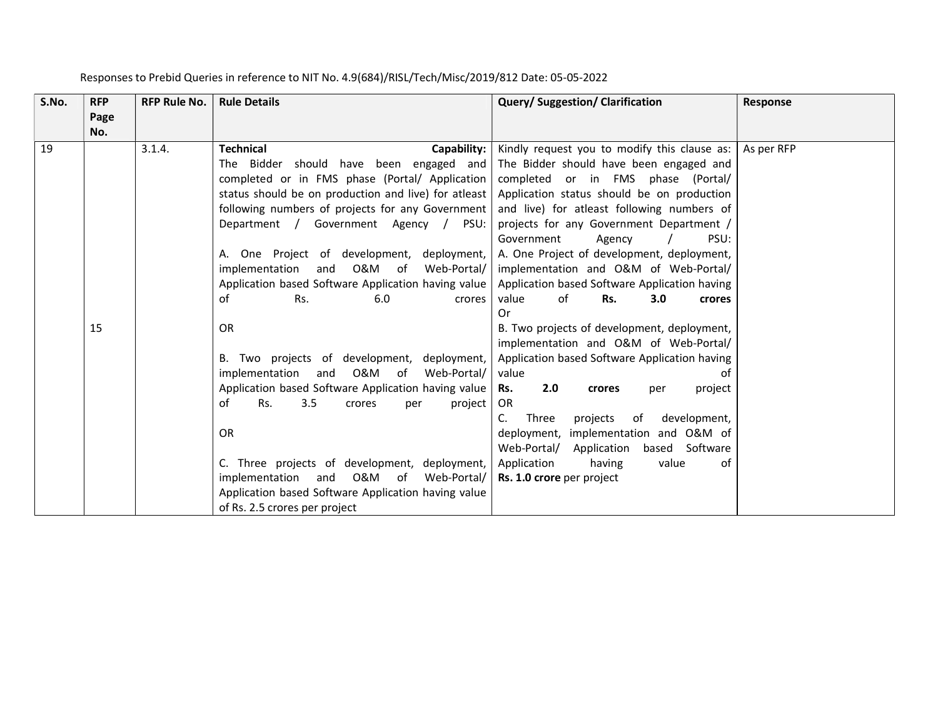| S.No. | <b>RFP</b>  | <b>RFP Rule No.</b> | <b>Rule Details</b>                                                                                                                                                                                                                                                                                                                                                                                                                                                                                                                                                                                                                                                                                                                                                                                                                                                                                                        | <b>Query/Suggestion/Clarification</b>                                                                                                                                                                                                                                                                                                                                                                                                                                                                                                                                                                                                                                                                                                                                                                                                                                     | Response   |
|-------|-------------|---------------------|----------------------------------------------------------------------------------------------------------------------------------------------------------------------------------------------------------------------------------------------------------------------------------------------------------------------------------------------------------------------------------------------------------------------------------------------------------------------------------------------------------------------------------------------------------------------------------------------------------------------------------------------------------------------------------------------------------------------------------------------------------------------------------------------------------------------------------------------------------------------------------------------------------------------------|---------------------------------------------------------------------------------------------------------------------------------------------------------------------------------------------------------------------------------------------------------------------------------------------------------------------------------------------------------------------------------------------------------------------------------------------------------------------------------------------------------------------------------------------------------------------------------------------------------------------------------------------------------------------------------------------------------------------------------------------------------------------------------------------------------------------------------------------------------------------------|------------|
|       | Page<br>No. |                     |                                                                                                                                                                                                                                                                                                                                                                                                                                                                                                                                                                                                                                                                                                                                                                                                                                                                                                                            |                                                                                                                                                                                                                                                                                                                                                                                                                                                                                                                                                                                                                                                                                                                                                                                                                                                                           |            |
| 19    | 15          | 3.1.4.              | <b>Technical</b><br>Capability:<br>The Bidder should have been engaged and<br>completed or in FMS phase (Portal/ Application   completed or in FMS phase (Portal/<br>status should be on production and live) for atleast<br>following numbers of projects for any Government  <br>Department / Government Agency /<br>PSU:<br>A. One Project of development,<br>deployment,<br>implementation<br>0&M<br>of<br>Web-Portal/<br>and<br>Application based Software Application having value  <br>of<br>Rs.<br>6.0<br>crores<br><b>OR</b><br>B. Two projects of development,<br>deployment,<br>O&M of<br>implementation<br>Web-Portal/<br>and<br>Application based Software Application having value<br>3.5<br>Rs.<br>of<br>project<br>crores<br>per<br><b>OR</b><br>C. Three projects of development, deployment,<br>0&M<br>and<br>of<br>Web-Portal/<br>implementation<br>Application based Software Application having value | Kindly request you to modify this clause as:<br>The Bidder should have been engaged and<br>Application status should be on production<br>and live) for atleast following numbers of<br>projects for any Government Department /<br>Government<br>PSU:<br>Agency<br>A. One Project of development, deployment,<br>implementation and O&M of Web-Portal/<br>Application based Software Application having<br>of<br>Rs.<br>3.0<br>value<br>crores<br>0r<br>B. Two projects of development, deployment,<br>implementation and O&M of Web-Portal/<br>Application based Software Application having<br>value<br>of<br>2.0<br>Rs.<br>project<br>crores<br>per<br>OR.<br>Three<br>development,<br>C.<br>projects<br>of<br>deployment, implementation and O&M of<br>Application based Software<br>Web-Portal/<br>Application<br>having<br>value<br>of<br>Rs. 1.0 crore per project | As per RFP |
|       |             |                     | of Rs. 2.5 crores per project                                                                                                                                                                                                                                                                                                                                                                                                                                                                                                                                                                                                                                                                                                                                                                                                                                                                                              |                                                                                                                                                                                                                                                                                                                                                                                                                                                                                                                                                                                                                                                                                                                                                                                                                                                                           |            |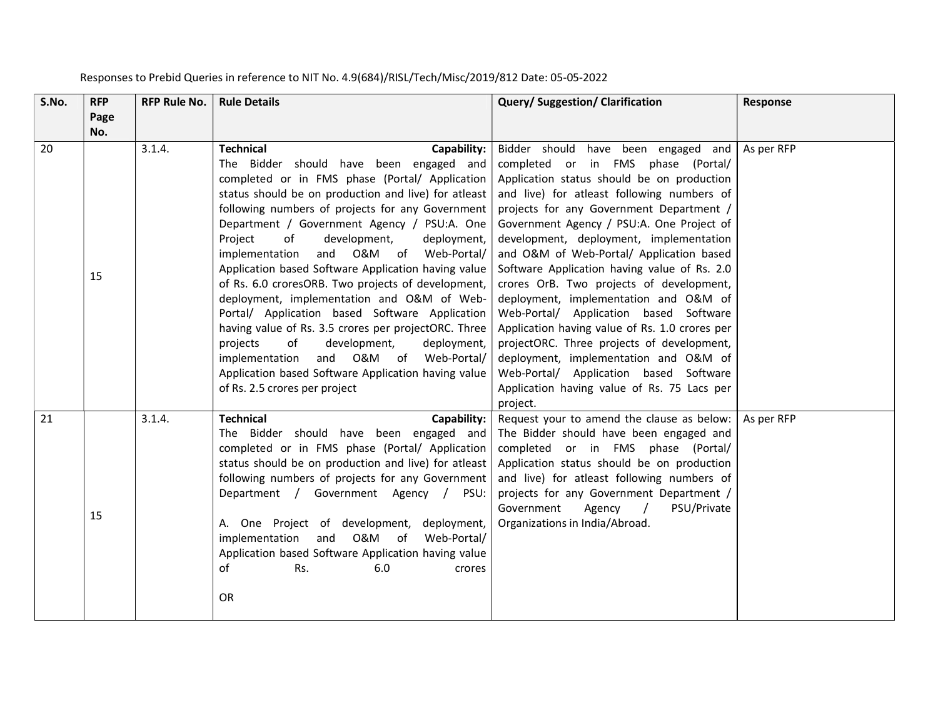| S.No. | <b>RFP</b>  | <b>RFP Rule No.</b> | <b>Rule Details</b>                                                                                                                                                                                                                                                                                                                                                                                                                                                                                                                                                                                                                                                                                                                                                                                                                           | Query/Suggestion/Clarification                                                                                                                                                                                                                                                                                                                                                                                                                                                                                                                                                                                                                                                                                                                                                     | Response   |
|-------|-------------|---------------------|-----------------------------------------------------------------------------------------------------------------------------------------------------------------------------------------------------------------------------------------------------------------------------------------------------------------------------------------------------------------------------------------------------------------------------------------------------------------------------------------------------------------------------------------------------------------------------------------------------------------------------------------------------------------------------------------------------------------------------------------------------------------------------------------------------------------------------------------------|------------------------------------------------------------------------------------------------------------------------------------------------------------------------------------------------------------------------------------------------------------------------------------------------------------------------------------------------------------------------------------------------------------------------------------------------------------------------------------------------------------------------------------------------------------------------------------------------------------------------------------------------------------------------------------------------------------------------------------------------------------------------------------|------------|
|       | Page<br>No. |                     |                                                                                                                                                                                                                                                                                                                                                                                                                                                                                                                                                                                                                                                                                                                                                                                                                                               |                                                                                                                                                                                                                                                                                                                                                                                                                                                                                                                                                                                                                                                                                                                                                                                    |            |
| 20    | 15          | 3.1.4.              | <b>Technical</b><br>Capability:<br>The Bidder should have been engaged and<br>completed or in FMS phase (Portal/ Application<br>status should be on production and live) for atleast<br>following numbers of projects for any Government<br>Department / Government Agency / PSU:A. One<br>Project<br>of<br>development,<br>deployment,<br>and O&M of Web-Portal/<br>implementation<br>Application based Software Application having value<br>of Rs. 6.0 croresORB. Two projects of development,<br>deployment, implementation and O&M of Web-<br>Portal/ Application based Software Application<br>having value of Rs. 3.5 crores per projectORC. Three<br>of<br>projects<br>development,<br>deployment,<br>and O&M of Web-Portal/<br>implementation<br>Application based Software Application having value<br>of Rs. 2.5 crores per project | Bidder should have been engaged and<br>completed or in FMS phase (Portal/<br>Application status should be on production<br>and live) for atleast following numbers of<br>projects for any Government Department /<br>Government Agency / PSU:A. One Project of<br>development, deployment, implementation<br>and O&M of Web-Portal/ Application based<br>Software Application having value of Rs. 2.0<br>crores OrB. Two projects of development,<br>deployment, implementation and O&M of<br>Web-Portal/ Application based Software<br>Application having value of Rs. 1.0 crores per<br>projectORC. Three projects of development,<br>deployment, implementation and O&M of<br>Web-Portal/ Application based Software<br>Application having value of Rs. 75 Lacs per<br>project. | As per RFP |
| 21    | 15          | 3.1.4.              | <b>Technical</b><br>Capability:<br>The Bidder should have been engaged and<br>completed or in FMS phase (Portal/ Application<br>status should be on production and live) for atleast<br>following numbers of projects for any Government<br>Department / Government Agency / PSU:<br>A. One Project of development, deployment,<br>implementation and O&M of Web-Portal/<br>Application based Software Application having value<br>of<br>6.0<br>Rs.<br>crores<br>OR                                                                                                                                                                                                                                                                                                                                                                           | Request your to amend the clause as below:<br>The Bidder should have been engaged and<br>completed or in FMS phase (Portal/<br>Application status should be on production<br>and live) for atleast following numbers of<br>projects for any Government Department /<br>Government<br>PSU/Private<br>Agency<br>$\sqrt{2}$<br>Organizations in India/Abroad.                                                                                                                                                                                                                                                                                                                                                                                                                         | As per RFP |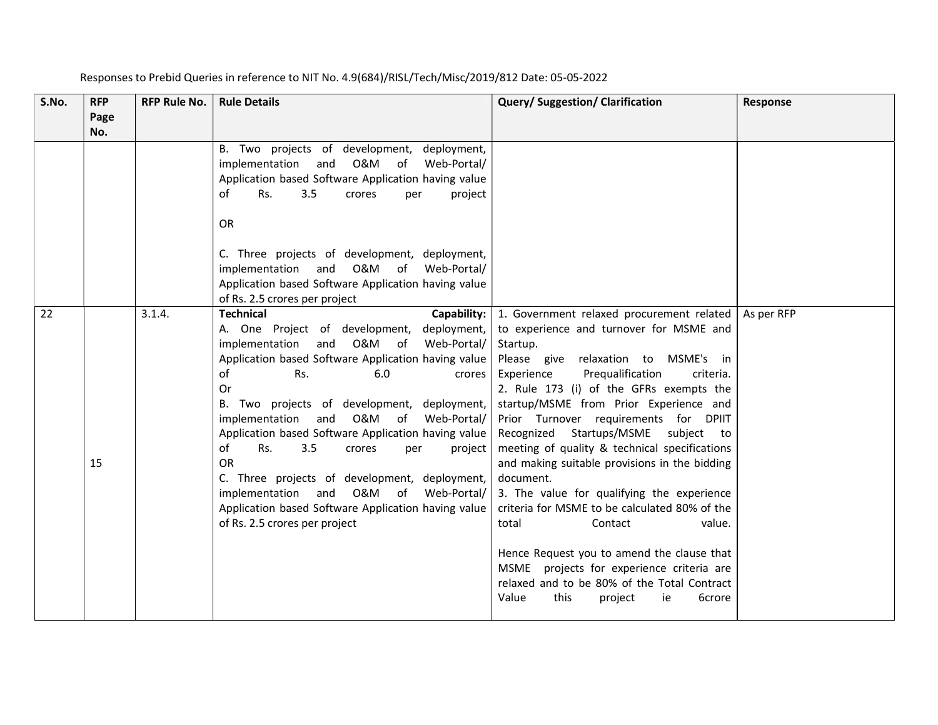| S.No. | <b>RFP</b><br>Page | <b>RFP Rule No.</b> | <b>Rule Details</b>                                                                                                                                                                                                                                                                                                                                                                                                                                                                                                                                                                                                               | Query/Suggestion/Clarification                                                                                                                                                                                                                                                                                                                                                                                                                                                                                                                                                                                                                                                                                                                                                                   | <b>Response</b> |
|-------|--------------------|---------------------|-----------------------------------------------------------------------------------------------------------------------------------------------------------------------------------------------------------------------------------------------------------------------------------------------------------------------------------------------------------------------------------------------------------------------------------------------------------------------------------------------------------------------------------------------------------------------------------------------------------------------------------|--------------------------------------------------------------------------------------------------------------------------------------------------------------------------------------------------------------------------------------------------------------------------------------------------------------------------------------------------------------------------------------------------------------------------------------------------------------------------------------------------------------------------------------------------------------------------------------------------------------------------------------------------------------------------------------------------------------------------------------------------------------------------------------------------|-----------------|
|       | No.                |                     | B. Two projects of development, deployment,<br>O&M of<br>implementation<br>and<br>Web-Portal/<br>Application based Software Application having value<br>3.5<br>of<br>Rs.<br>crores<br>project<br>per<br><b>OR</b><br>C. Three projects of development, deployment,<br>implementation and O&M of Web-Portal/<br>Application based Software Application having value<br>of Rs. 2.5 crores per project                                                                                                                                                                                                                               |                                                                                                                                                                                                                                                                                                                                                                                                                                                                                                                                                                                                                                                                                                                                                                                                  |                 |
| 22    | 15                 | 3.1.4.              | <b>Technical</b><br>Capability:<br>A. One Project of development, deployment,<br>and O&M of<br>Web-Portal/<br>implementation<br>Application based Software Application having value<br>of<br>Rs.<br>6.0<br>crores<br>Or<br>B. Two projects of development, deployment,<br>implementation<br>0&M<br>Web-Portal/<br>and<br>of<br>Application based Software Application having value<br>of<br>Rs.<br>3.5<br>crores<br>project<br>per<br><b>OR</b><br>C. Three projects of development, deployment,<br>implementation and O&M of Web-Portal/<br>Application based Software Application having value<br>of Rs. 2.5 crores per project | 1. Government relaxed procurement related<br>to experience and turnover for MSME and<br>Startup.<br>Please give relaxation to MSME's in<br>Prequalification<br>Experience<br>criteria.<br>2. Rule 173 (i) of the GFRs exempts the<br>startup/MSME from Prior Experience and<br>Prior Turnover requirements for DPIIT<br>Recognized Startups/MSME<br>subject to<br>meeting of quality & technical specifications<br>and making suitable provisions in the bidding<br>document.<br>3. The value for qualifying the experience<br>criteria for MSME to be calculated 80% of the<br>value.<br>total<br>Contact<br>Hence Request you to amend the clause that<br>MSME projects for experience criteria are<br>relaxed and to be 80% of the Total Contract<br>Value<br>this<br>6crore<br>project<br>ie | As per RFP      |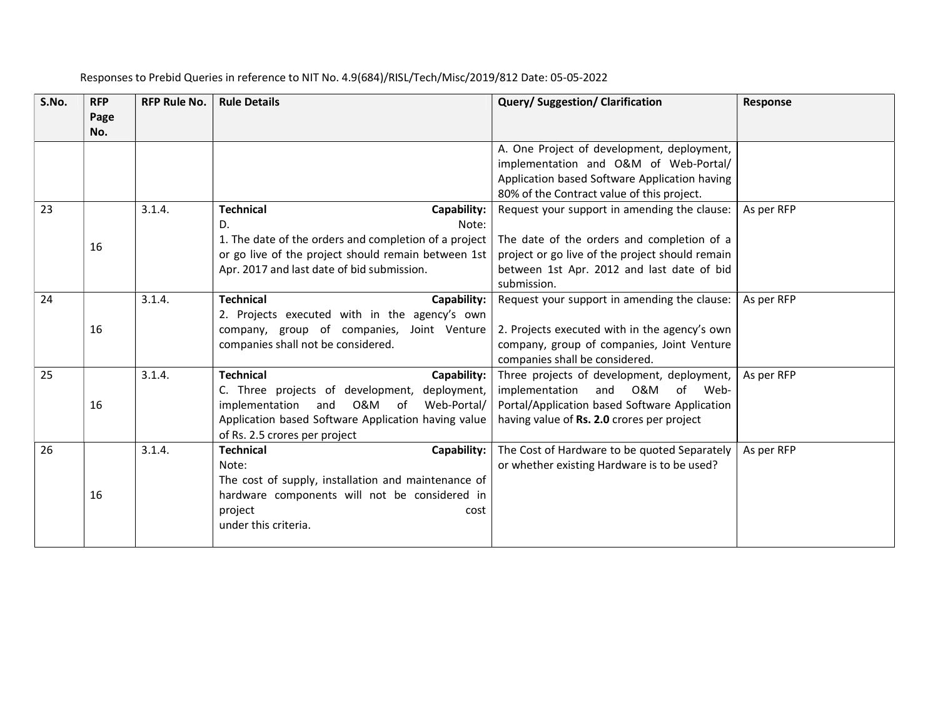| S.No. | <b>RFP</b> | <b>RFP Rule No.</b> | <b>Rule Details</b>                                   | <b>Query/Suggestion/Clarification</b>           | Response   |
|-------|------------|---------------------|-------------------------------------------------------|-------------------------------------------------|------------|
|       | Page       |                     |                                                       |                                                 |            |
|       | No.        |                     |                                                       |                                                 |            |
|       |            |                     |                                                       | A. One Project of development, deployment,      |            |
|       |            |                     |                                                       | implementation and O&M of Web-Portal/           |            |
|       |            |                     |                                                       | Application based Software Application having   |            |
|       |            |                     |                                                       | 80% of the Contract value of this project.      |            |
| 23    |            | 3.1.4.              | <b>Technical</b><br>Capability:                       | Request your support in amending the clause:    | As per RFP |
|       |            |                     | D.<br>Note:                                           |                                                 |            |
|       | 16         |                     | 1. The date of the orders and completion of a project | The date of the orders and completion of a      |            |
|       |            |                     | or go live of the project should remain between 1st   | project or go live of the project should remain |            |
|       |            |                     | Apr. 2017 and last date of bid submission.            | between 1st Apr. 2012 and last date of bid      |            |
|       |            |                     |                                                       | submission.                                     |            |
| 24    |            | 3.1.4.              | <b>Technical</b><br>Capability:                       | Request your support in amending the clause:    | As per RFP |
|       |            |                     | 2. Projects executed with in the agency's own         |                                                 |            |
|       | 16         |                     | company, group of companies, Joint Venture            | 2. Projects executed with in the agency's own   |            |
|       |            |                     | companies shall not be considered.                    | company, group of companies, Joint Venture      |            |
|       |            |                     |                                                       | companies shall be considered.                  |            |
| 25    |            | 3.1.4.              | <b>Technical</b><br>Capability:                       | Three projects of development, deployment,      | As per RFP |
|       |            |                     | C. Three projects of development, deployment,         | implementation<br>and O&M<br>of Web-            |            |
|       | 16         |                     | O&M of<br>implementation<br>and<br>Web-Portal/        | Portal/Application based Software Application   |            |
|       |            |                     | Application based Software Application having value   | having value of Rs. 2.0 crores per project      |            |
|       |            |                     | of Rs. 2.5 crores per project                         |                                                 |            |
| 26    |            | 3.1.4.              | <b>Technical</b><br>Capability:                       | The Cost of Hardware to be quoted Separately    | As per RFP |
|       |            |                     | Note:                                                 | or whether existing Hardware is to be used?     |            |
|       |            |                     | The cost of supply, installation and maintenance of   |                                                 |            |
|       | 16         |                     | hardware components will not be considered in         |                                                 |            |
|       |            |                     | project<br>cost                                       |                                                 |            |
|       |            |                     | under this criteria.                                  |                                                 |            |
|       |            |                     |                                                       |                                                 |            |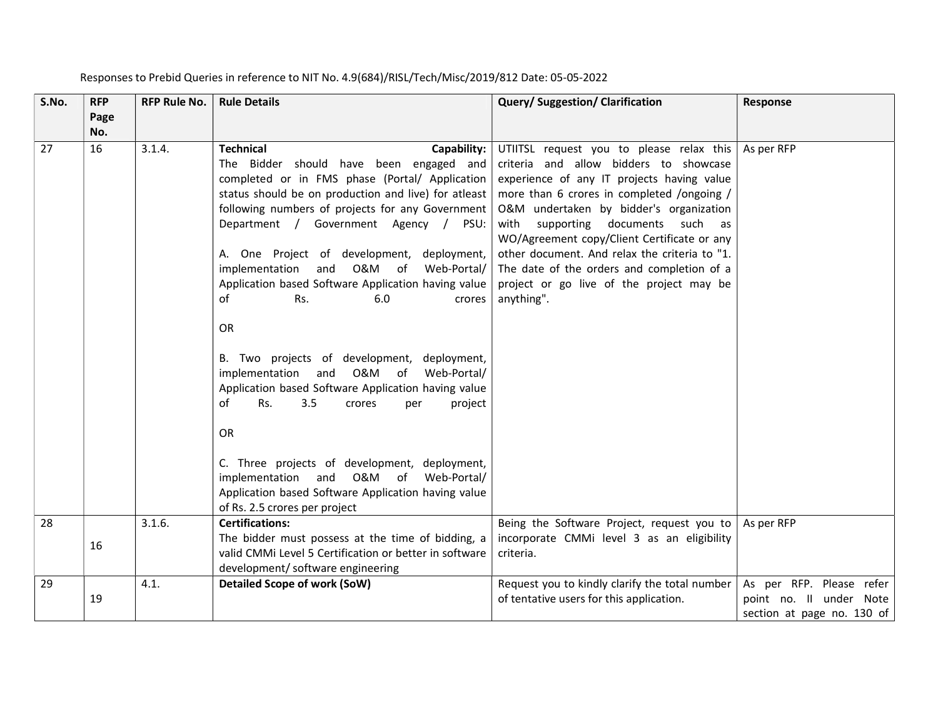| S.No. | <b>RFP</b>  | <b>RFP Rule No.</b> | <b>Rule Details</b>                                                                                                                                                                                                                                                                                                                                                                                                                                                                                                                                                                                                                                                                                                                                                                                                                                                              | <b>Query/Suggestion/Clarification</b>                                                                                                                                                                                                                                                                                                                                                                                                                                  | Response                                                                          |
|-------|-------------|---------------------|----------------------------------------------------------------------------------------------------------------------------------------------------------------------------------------------------------------------------------------------------------------------------------------------------------------------------------------------------------------------------------------------------------------------------------------------------------------------------------------------------------------------------------------------------------------------------------------------------------------------------------------------------------------------------------------------------------------------------------------------------------------------------------------------------------------------------------------------------------------------------------|------------------------------------------------------------------------------------------------------------------------------------------------------------------------------------------------------------------------------------------------------------------------------------------------------------------------------------------------------------------------------------------------------------------------------------------------------------------------|-----------------------------------------------------------------------------------|
|       | Page<br>No. |                     |                                                                                                                                                                                                                                                                                                                                                                                                                                                                                                                                                                                                                                                                                                                                                                                                                                                                                  |                                                                                                                                                                                                                                                                                                                                                                                                                                                                        |                                                                                   |
| 27    | 16          | 3.1.4.              | <b>Technical</b><br>Capability:<br>The Bidder should have been engaged and<br>completed or in FMS phase (Portal/ Application<br>status should be on production and live) for atleast<br>following numbers of projects for any Government<br>Department / Government Agency / PSU:<br>A. One Project of development, deployment,<br>and O&M of Web-Portal/<br>implementation<br>Application based Software Application having value<br>οf<br>Rs.<br>6.0<br>crores<br>OR<br>B. Two projects of development, deployment,<br>and O&M of Web-Portal/<br>implementation<br>Application based Software Application having value<br>of<br>Rs.<br>3.5<br>project<br>crores<br>per<br><b>OR</b><br>C. Three projects of development, deployment,<br>O&M of<br>implementation<br>and<br>Web-Portal/<br>Application based Software Application having value<br>of Rs. 2.5 crores per project | UTIITSL request you to please relax this<br>criteria and allow bidders to showcase<br>experience of any IT projects having value<br>more than 6 crores in completed /ongoing /<br>O&M undertaken by bidder's organization<br>with supporting documents such as<br>WO/Agreement copy/Client Certificate or any<br>other document. And relax the criteria to "1.<br>The date of the orders and completion of a<br>project or go live of the project may be<br>anything". | As per RFP                                                                        |
| 28    | 16          | 3.1.6.              | <b>Certifications:</b><br>The bidder must possess at the time of bidding, a<br>valid CMMi Level 5 Certification or better in software<br>development/ software engineering                                                                                                                                                                                                                                                                                                                                                                                                                                                                                                                                                                                                                                                                                                       | Being the Software Project, request you to<br>incorporate CMMi level 3 as an eligibility<br>criteria.                                                                                                                                                                                                                                                                                                                                                                  | As per RFP                                                                        |
| 29    | 19          | 4.1.                | <b>Detailed Scope of work (SoW)</b>                                                                                                                                                                                                                                                                                                                                                                                                                                                                                                                                                                                                                                                                                                                                                                                                                                              | Request you to kindly clarify the total number<br>of tentative users for this application.                                                                                                                                                                                                                                                                                                                                                                             | As per RFP. Please refer<br>point no. Il under Note<br>section at page no. 130 of |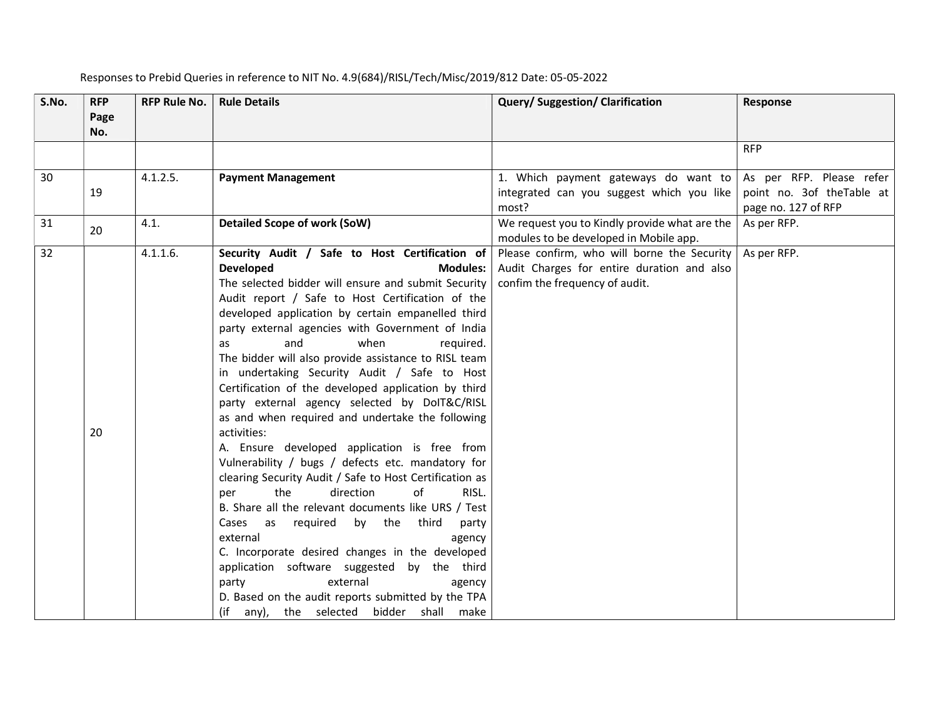| S.No. | <b>RFP</b><br>Page | <b>RFP Rule No.</b> | <b>Rule Details</b>                                                                                                                                                                                                                                                                                                                                                                                                                                                                                                                                                                                                                                                                                                                                                                                                                                                                                                                                                                                                                                                                                                                                                                                 | Query/Suggestion/Clarification                                                                                              | Response                                         |
|-------|--------------------|---------------------|-----------------------------------------------------------------------------------------------------------------------------------------------------------------------------------------------------------------------------------------------------------------------------------------------------------------------------------------------------------------------------------------------------------------------------------------------------------------------------------------------------------------------------------------------------------------------------------------------------------------------------------------------------------------------------------------------------------------------------------------------------------------------------------------------------------------------------------------------------------------------------------------------------------------------------------------------------------------------------------------------------------------------------------------------------------------------------------------------------------------------------------------------------------------------------------------------------|-----------------------------------------------------------------------------------------------------------------------------|--------------------------------------------------|
|       | No.                |                     |                                                                                                                                                                                                                                                                                                                                                                                                                                                                                                                                                                                                                                                                                                                                                                                                                                                                                                                                                                                                                                                                                                                                                                                                     |                                                                                                                             |                                                  |
|       |                    |                     |                                                                                                                                                                                                                                                                                                                                                                                                                                                                                                                                                                                                                                                                                                                                                                                                                                                                                                                                                                                                                                                                                                                                                                                                     |                                                                                                                             | <b>RFP</b>                                       |
| 30    |                    | 4.1.2.5.            | <b>Payment Management</b>                                                                                                                                                                                                                                                                                                                                                                                                                                                                                                                                                                                                                                                                                                                                                                                                                                                                                                                                                                                                                                                                                                                                                                           | 1. Which payment gateways do want to                                                                                        | As per RFP. Please refer                         |
|       | 19                 |                     |                                                                                                                                                                                                                                                                                                                                                                                                                                                                                                                                                                                                                                                                                                                                                                                                                                                                                                                                                                                                                                                                                                                                                                                                     | integrated can you suggest which you like<br>most?                                                                          | point no. 3of theTable at<br>page no. 127 of RFP |
| 31    | 20                 | 4.1.                | <b>Detailed Scope of work (SoW)</b>                                                                                                                                                                                                                                                                                                                                                                                                                                                                                                                                                                                                                                                                                                                                                                                                                                                                                                                                                                                                                                                                                                                                                                 | We request you to Kindly provide what are the<br>modules to be developed in Mobile app.                                     | As per RFP.                                      |
| 32    | 20                 | 4.1.1.6.            | Security Audit / Safe to Host Certification of<br><b>Developed</b><br><b>Modules:</b><br>The selected bidder will ensure and submit Security<br>Audit report / Safe to Host Certification of the<br>developed application by certain empanelled third<br>party external agencies with Government of India<br>and<br>when<br>required.<br>as<br>The bidder will also provide assistance to RISL team<br>in undertaking Security Audit / Safe to Host<br>Certification of the developed application by third<br>party external agency selected by DoIT&C/RISL<br>as and when required and undertake the following<br>activities:<br>A. Ensure developed application is free from<br>Vulnerability / bugs / defects etc. mandatory for<br>clearing Security Audit / Safe to Host Certification as<br>direction<br>of<br>the<br>RISL.<br>per<br>B. Share all the relevant documents like URS / Test<br>Cases as required by the third<br>party<br>external<br>agency<br>C. Incorporate desired changes in the developed<br>application software suggested by the third<br>external<br>party<br>agency<br>D. Based on the audit reports submitted by the TPA<br>(if any), the selected bidder shall make | Please confirm, who will borne the Security<br>Audit Charges for entire duration and also<br>confim the frequency of audit. | As per RFP.                                      |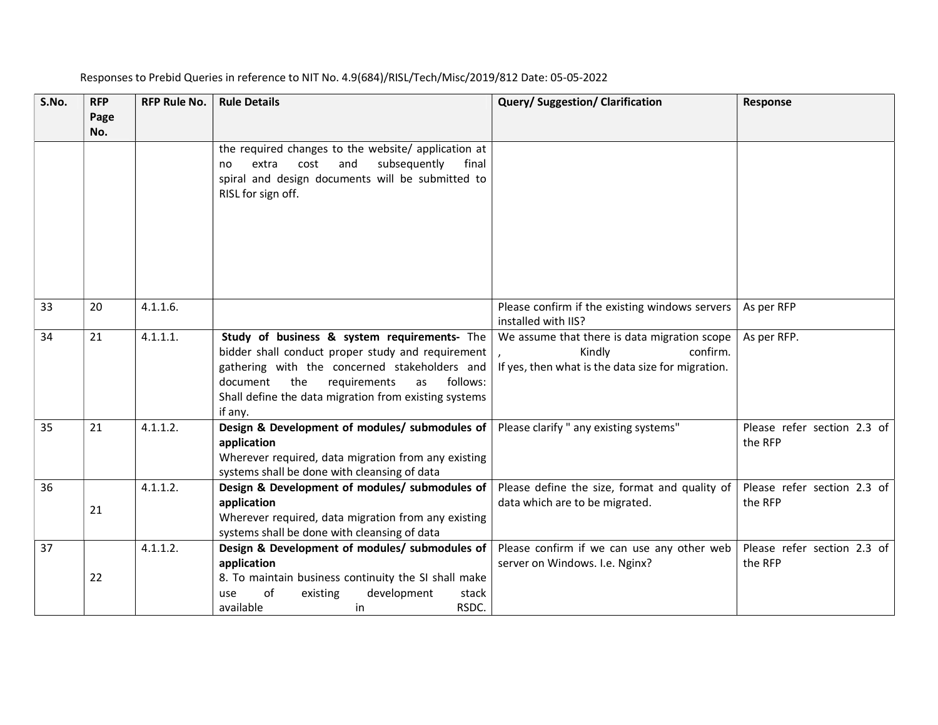| S.No. | <b>RFP</b><br>Page<br>No. | <b>RFP Rule No.</b> | <b>Rule Details</b>                                                                                                                                                                                                                                                         | Query/Suggestion/Clarification                                                                                          | Response                               |
|-------|---------------------------|---------------------|-----------------------------------------------------------------------------------------------------------------------------------------------------------------------------------------------------------------------------------------------------------------------------|-------------------------------------------------------------------------------------------------------------------------|----------------------------------------|
|       |                           |                     | the required changes to the website/ application at<br>subsequently<br>extra<br>cost<br>and<br>final<br>no<br>spiral and design documents will be submitted to<br>RISL for sign off.                                                                                        |                                                                                                                         |                                        |
| 33    | 20                        | 4.1.1.6.            |                                                                                                                                                                                                                                                                             | Please confirm if the existing windows servers<br>installed with IIS?                                                   | As per RFP                             |
| 34    | 21                        | 4.1.1.1.            | Study of business & system requirements- The<br>bidder shall conduct proper study and requirement<br>gathering with the concerned stakeholders and<br>the<br>requirements<br>follows:<br>document<br>as<br>Shall define the data migration from existing systems<br>if any. | We assume that there is data migration scope<br>confirm.<br>Kindly<br>If yes, then what is the data size for migration. | As per RFP.                            |
| 35    | 21                        | 4.1.1.2.            | Design & Development of modules/ submodules of<br>application<br>Wherever required, data migration from any existing<br>systems shall be done with cleansing of data                                                                                                        | Please clarify " any existing systems"                                                                                  | Please refer section 2.3 of<br>the RFP |
| 36    | 21                        | 4.1.1.2.            | Design & Development of modules/ submodules of<br>application<br>Wherever required, data migration from any existing<br>systems shall be done with cleansing of data                                                                                                        | Please define the size, format and quality of<br>data which are to be migrated.                                         | Please refer section 2.3 of<br>the RFP |
| 37    | 22                        | 4.1.1.2.            | Design & Development of modules/ submodules of<br>application<br>8. To maintain business continuity the SI shall make<br>of<br>existing<br>development<br>stack<br>use<br>RSDC.<br>available<br>in                                                                          | Please confirm if we can use any other web<br>server on Windows. I.e. Nginx?                                            | Please refer section 2.3 of<br>the RFP |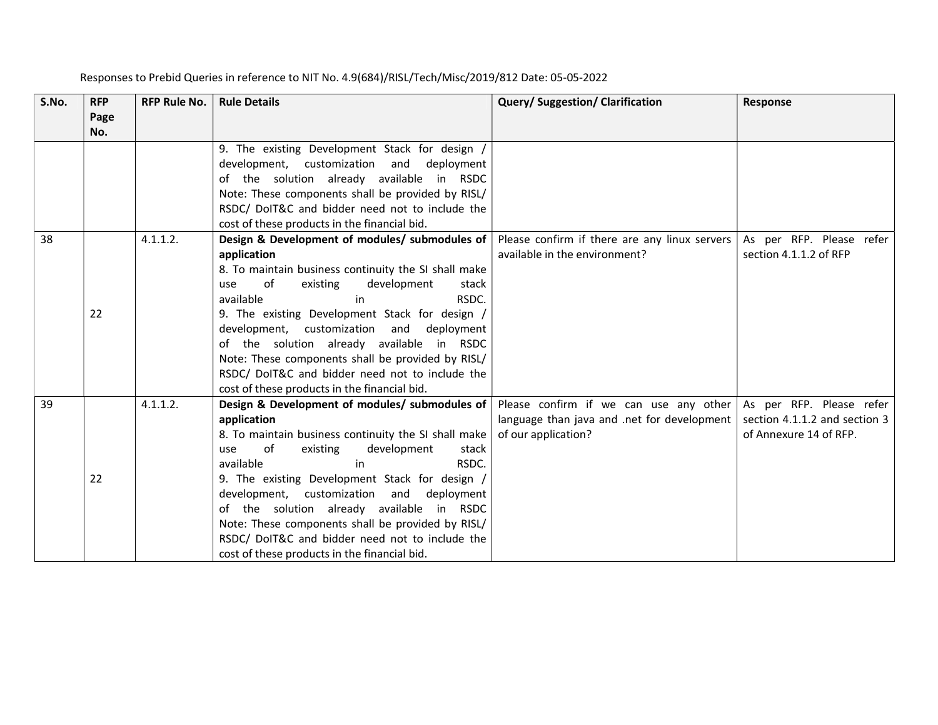| S.No. | <b>RFP</b>  | <b>RFP Rule No.</b> | <b>Rule Details</b>                                                                                                                                                                                                                                                                                                                                                                                                                                                                                       | <b>Query/Suggestion/Clarification</b>                                                                        | <b>Response</b>                                                                     |
|-------|-------------|---------------------|-----------------------------------------------------------------------------------------------------------------------------------------------------------------------------------------------------------------------------------------------------------------------------------------------------------------------------------------------------------------------------------------------------------------------------------------------------------------------------------------------------------|--------------------------------------------------------------------------------------------------------------|-------------------------------------------------------------------------------------|
|       | Page<br>No. |                     |                                                                                                                                                                                                                                                                                                                                                                                                                                                                                                           |                                                                                                              |                                                                                     |
|       |             |                     | 9. The existing Development Stack for design /<br>development, customization and<br>deployment<br>of the solution already available in RSDC<br>Note: These components shall be provided by RISL/<br>RSDC/ DoIT&C and bidder need not to include the<br>cost of these products in the financial bid.                                                                                                                                                                                                       |                                                                                                              |                                                                                     |
| 38    | 22          | 4.1.1.2.            | Design & Development of modules/ submodules of<br>application<br>8. To maintain business continuity the SI shall make<br>of<br>existing<br>development<br>stack<br>use<br>available<br>RSDC.<br>in<br>9. The existing Development Stack for design /<br>development, customization and<br>deployment<br>of the solution already available in RSDC<br>Note: These components shall be provided by RISL/<br>RSDC/ DoIT&C and bidder need not to include the<br>cost of these products in the financial bid. | Please confirm if there are any linux servers<br>available in the environment?                               | As per RFP. Please refer<br>section 4.1.1.2 of RFP                                  |
| 39    | 22          | 4.1.1.2.            | Design & Development of modules/ submodules of<br>application<br>8. To maintain business continuity the SI shall make<br>of<br>existing<br>development<br>stack<br>use<br>available<br>in<br>RSDC.<br>9. The existing Development Stack for design /<br>development, customization and<br>deployment<br>of the solution already available in RSDC<br>Note: These components shall be provided by RISL/<br>RSDC/ DoIT&C and bidder need not to include the<br>cost of these products in the financial bid. | Please confirm if we can use any other<br>language than java and .net for development<br>of our application? | As per RFP. Please refer<br>section 4.1.1.2 and section 3<br>of Annexure 14 of RFP. |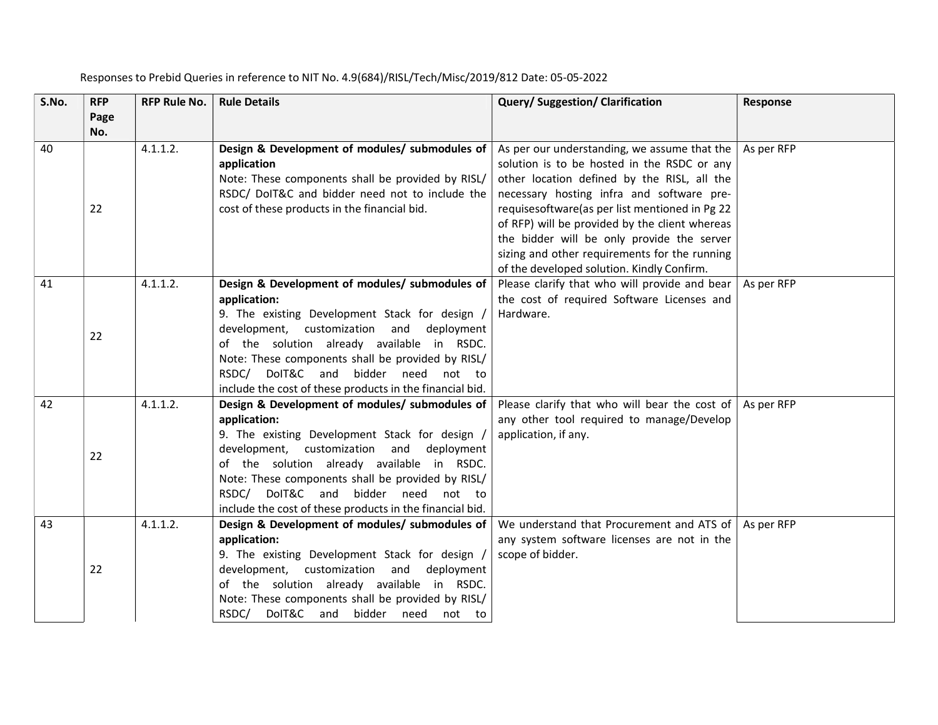| S.No. | <b>RFP</b><br>Page | <b>RFP Rule No.</b> | <b>Rule Details</b>                                                                                                                                                                                                                                                                                                                                                       | Query/Suggestion/Clarification                                                                                                                                                                                                                                                                                                                                                                                                             | Response   |
|-------|--------------------|---------------------|---------------------------------------------------------------------------------------------------------------------------------------------------------------------------------------------------------------------------------------------------------------------------------------------------------------------------------------------------------------------------|--------------------------------------------------------------------------------------------------------------------------------------------------------------------------------------------------------------------------------------------------------------------------------------------------------------------------------------------------------------------------------------------------------------------------------------------|------------|
|       | No.                |                     |                                                                                                                                                                                                                                                                                                                                                                           |                                                                                                                                                                                                                                                                                                                                                                                                                                            |            |
| 40    | 22                 | 4.1.1.2.            | Design & Development of modules/ submodules of<br>application<br>Note: These components shall be provided by RISL/<br>RSDC/ DoIT&C and bidder need not to include the<br>cost of these products in the financial bid.                                                                                                                                                     | As per our understanding, we assume that the<br>solution is to be hosted in the RSDC or any<br>other location defined by the RISL, all the<br>necessary hosting infra and software pre-<br>requises of tware(as per list mentioned in Pg 22<br>of RFP) will be provided by the client whereas<br>the bidder will be only provide the server<br>sizing and other requirements for the running<br>of the developed solution. Kindly Confirm. | As per RFP |
| 41    | 22                 | 4.1.1.2.            | Design & Development of modules/ submodules of<br>application:<br>9. The existing Development Stack for design,<br>development, customization and<br>deployment<br>of the solution already available in RSDC.<br>Note: These components shall be provided by RISL/<br>DoIT&C and bidder need not to<br>RSDC/<br>include the cost of these products in the financial bid.  | Please clarify that who will provide and bear<br>the cost of required Software Licenses and<br>Hardware.                                                                                                                                                                                                                                                                                                                                   | As per RFP |
| 42    | 22                 | 4.1.1.2.            | Design & Development of modules/ submodules of  <br>application:<br>9. The existing Development Stack for design<br>development, customization and<br>deployment<br>of the solution already available in RSDC.<br>Note: These components shall be provided by RISL/<br>DoIT&C and bidder need not to<br>RSDC/<br>include the cost of these products in the financial bid. | Please clarify that who will bear the cost of<br>any other tool required to manage/Develop<br>application, if any.                                                                                                                                                                                                                                                                                                                         | As per RFP |
| 43    | 22                 | 4.1.1.2.            | Design & Development of modules/ submodules of<br>application:<br>9. The existing Development Stack for design /<br>development, customization and<br>deployment<br>of the solution already available in RSDC.<br>Note: These components shall be provided by RISL/<br>DoIT&C and bidder need not to<br>RSDC/                                                             | We understand that Procurement and ATS of<br>any system software licenses are not in the<br>scope of bidder.                                                                                                                                                                                                                                                                                                                               | As per RFP |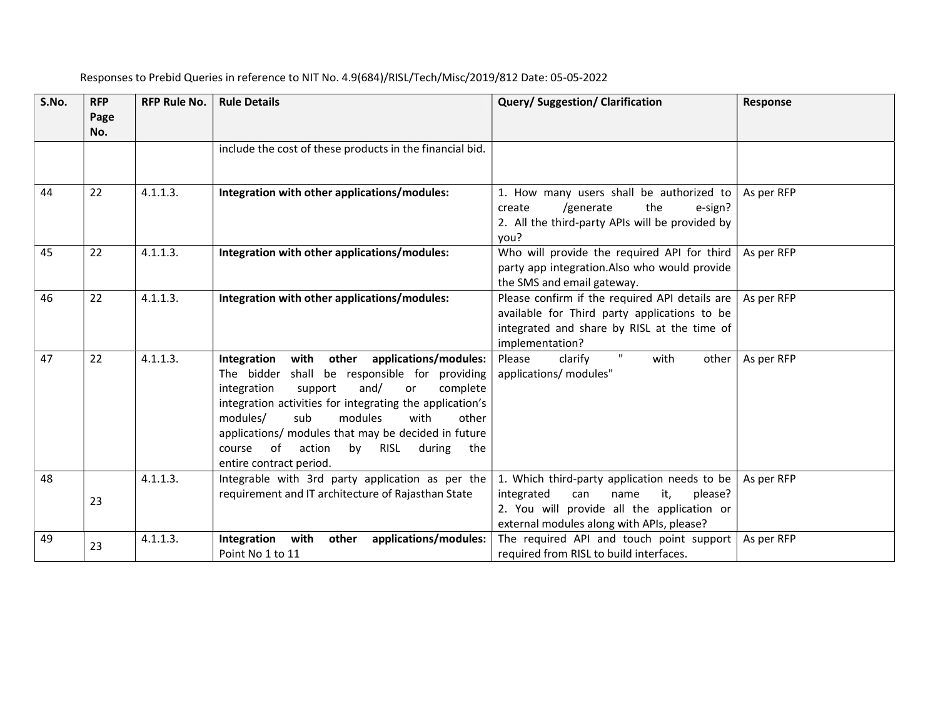| S.No. | <b>RFP</b><br>Page<br>No. | <b>RFP Rule No.</b> | <b>Rule Details</b>                                                                                                                                                                                                                                                                                                                                                                                           | <b>Query/Suggestion/Clarification</b>                                                                                                                                                  | Response   |
|-------|---------------------------|---------------------|---------------------------------------------------------------------------------------------------------------------------------------------------------------------------------------------------------------------------------------------------------------------------------------------------------------------------------------------------------------------------------------------------------------|----------------------------------------------------------------------------------------------------------------------------------------------------------------------------------------|------------|
|       |                           |                     | include the cost of these products in the financial bid.                                                                                                                                                                                                                                                                                                                                                      |                                                                                                                                                                                        |            |
| 44    | 22                        | 4.1.1.3.            | Integration with other applications/modules:                                                                                                                                                                                                                                                                                                                                                                  | 1. How many users shall be authorized to<br>the<br>/generate<br>e-sign?<br>create<br>2. All the third-party APIs will be provided by<br>you?                                           | As per RFP |
| 45    | 22                        | 4.1.1.3.            | Integration with other applications/modules:                                                                                                                                                                                                                                                                                                                                                                  | Who will provide the required API for third<br>party app integration.Also who would provide<br>the SMS and email gateway.                                                              | As per RFP |
| 46    | 22                        | 4.1.1.3.            | Integration with other applications/modules:                                                                                                                                                                                                                                                                                                                                                                  | Please confirm if the required API details are<br>available for Third party applications to be<br>integrated and share by RISL at the time of<br>implementation?                       | As per RFP |
| 47    | 22                        | 4.1.1.3.            | with other applications/modules:<br>Integration<br>shall be responsible for providing<br>The bidder<br>and/<br>integration<br>complete<br>support<br>or<br>integration activities for integrating the application's<br>modules/<br>modules<br>sub<br>with<br>other<br>applications/ modules that may be decided in future<br>of<br>by<br>action<br>RISL<br>during<br>the<br>course<br>entire contract period. | $\mathbf{H}$<br>Please<br>with<br>clarify<br>other<br>applications/ modules"                                                                                                           | As per RFP |
| 48    | 23                        | 4.1.1.3.            | Integrable with 3rd party application as per the<br>requirement and IT architecture of Rajasthan State                                                                                                                                                                                                                                                                                                        | 1. Which third-party application needs to be<br>integrated<br>it,<br>please?<br>can<br>name<br>2. You will provide all the application or<br>external modules along with APIs, please? | As per RFP |
| 49    | 23                        | 4.1.1.3.            | Integration<br>with<br>other<br>applications/modules:<br>Point No 1 to 11                                                                                                                                                                                                                                                                                                                                     | The required API and touch point support<br>required from RISL to build interfaces.                                                                                                    | As per RFP |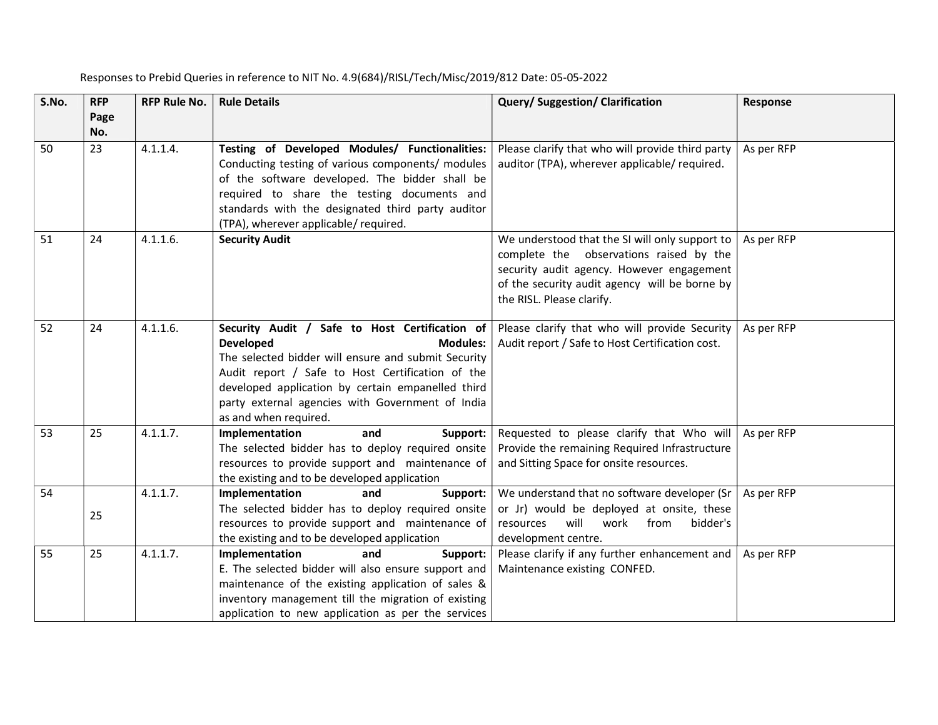| S.No. | <b>RFP</b><br>Page | <b>RFP Rule No.</b> | <b>Rule Details</b>                                                                                                                                                                                                                                                                                                                | Query/Suggestion/Clarification                                                                                                                                                                                       | Response   |
|-------|--------------------|---------------------|------------------------------------------------------------------------------------------------------------------------------------------------------------------------------------------------------------------------------------------------------------------------------------------------------------------------------------|----------------------------------------------------------------------------------------------------------------------------------------------------------------------------------------------------------------------|------------|
| 50    | No.<br>23          | 4.1.1.4.            | Testing of Developed Modules/ Functionalities:<br>Conducting testing of various components/ modules<br>of the software developed. The bidder shall be<br>required to share the testing documents and<br>standards with the designated third party auditor<br>(TPA), wherever applicable/ required.                                 | Please clarify that who will provide third party<br>auditor (TPA), wherever applicable/ required.                                                                                                                    | As per RFP |
| 51    | 24                 | 4.1.1.6.            | <b>Security Audit</b>                                                                                                                                                                                                                                                                                                              | We understood that the SI will only support to<br>complete the observations raised by the<br>security audit agency. However engagement<br>of the security audit agency will be borne by<br>the RISL. Please clarify. | As per RFP |
| 52    | 24                 | 4.1.1.6.            | Security Audit / Safe to Host Certification of<br><b>Developed</b><br><b>Modules:</b><br>The selected bidder will ensure and submit Security<br>Audit report / Safe to Host Certification of the<br>developed application by certain empanelled third<br>party external agencies with Government of India<br>as and when required. | Please clarify that who will provide Security<br>Audit report / Safe to Host Certification cost.                                                                                                                     | As per RFP |
| 53    | 25                 | 4.1.1.7.            | Implementation<br>and<br>Support:<br>The selected bidder has to deploy required onsite<br>resources to provide support and maintenance of<br>the existing and to be developed application                                                                                                                                          | Requested to please clarify that Who will<br>Provide the remaining Required Infrastructure<br>and Sitting Space for onsite resources.                                                                                | As per RFP |
| 54    | 25                 | 4.1.1.7.            | Implementation<br>and<br>Support:<br>The selected bidder has to deploy required onsite<br>resources to provide support and maintenance of<br>the existing and to be developed application                                                                                                                                          | We understand that no software developer (Sr<br>or Jr) would be deployed at onsite, these<br>resources<br>will<br>work<br>from<br>bidder's<br>development centre.                                                    | As per RFP |
| 55    | 25                 | 4.1.1.7.            | Implementation<br>and<br>Support:<br>E. The selected bidder will also ensure support and<br>maintenance of the existing application of sales &<br>inventory management till the migration of existing<br>application to new application as per the services                                                                        | Please clarify if any further enhancement and<br>Maintenance existing CONFED.                                                                                                                                        | As per RFP |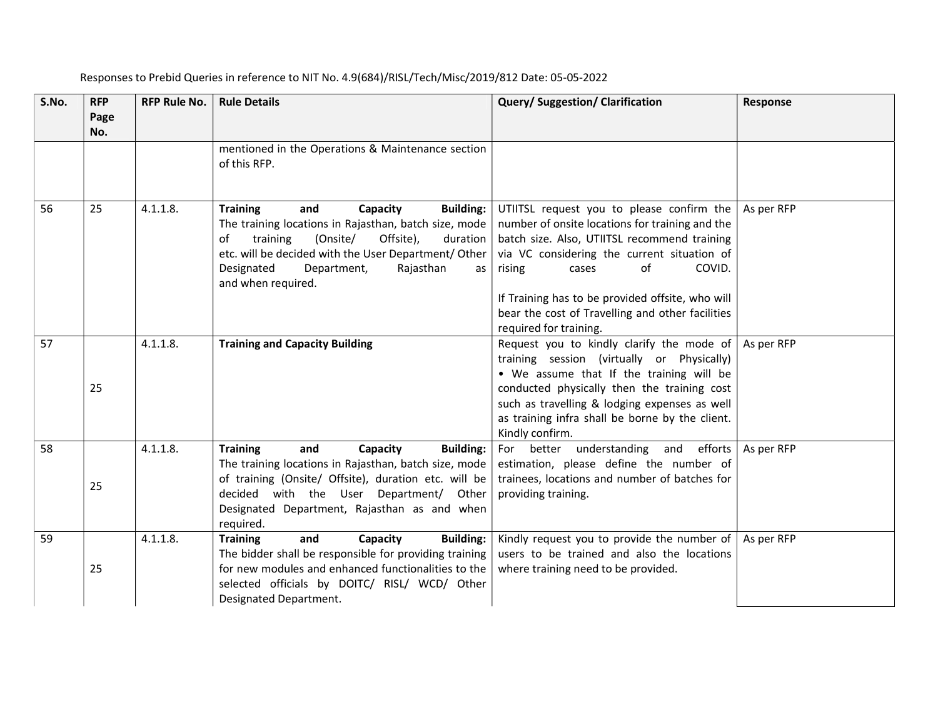| S.No. | <b>RFP</b><br>Page<br>No. | <b>RFP Rule No.</b> | <b>Rule Details</b>                                                                                                                                                                                                                                                                                              | Query/Suggestion/Clarification                                                                                                                                                                                                                                                                                                                                   | <b>Response</b> |
|-------|---------------------------|---------------------|------------------------------------------------------------------------------------------------------------------------------------------------------------------------------------------------------------------------------------------------------------------------------------------------------------------|------------------------------------------------------------------------------------------------------------------------------------------------------------------------------------------------------------------------------------------------------------------------------------------------------------------------------------------------------------------|-----------------|
|       |                           |                     | mentioned in the Operations & Maintenance section<br>of this RFP.                                                                                                                                                                                                                                                |                                                                                                                                                                                                                                                                                                                                                                  |                 |
| 56    | 25                        | 4.1.1.8.            | <b>Training</b><br>Capacity<br><b>Building:</b><br>and<br>The training locations in Rajasthan, batch size, mode<br>Offsite),<br>training<br>(Onsite/<br>duration<br>of<br>etc. will be decided with the User Department/Other<br>Designated<br>Department,<br>Rajasthan<br>as <sub>1</sub><br>and when required. | UTIITSL request you to please confirm the<br>number of onsite locations for training and the<br>batch size. Also, UTIITSL recommend training<br>via VC considering the current situation of<br>of<br>COVID.<br>rising<br>cases<br>If Training has to be provided offsite, who will<br>bear the cost of Travelling and other facilities<br>required for training. | As per RFP      |
| 57    | 25                        | 4.1.1.8.            | <b>Training and Capacity Building</b>                                                                                                                                                                                                                                                                            | Request you to kindly clarify the mode of<br>training session (virtually or Physically)<br>. We assume that If the training will be<br>conducted physically then the training cost<br>such as travelling & lodging expenses as well<br>as training infra shall be borne by the client.<br>Kindly confirm.                                                        | As per RFP      |
| 58    | 25                        | 4.1.1.8.            | <b>Training</b><br>and<br>Capacity<br><b>Building:</b><br>The training locations in Rajasthan, batch size, mode<br>of training (Onsite/ Offsite), duration etc. will be<br>decided with the User Department/ Other<br>Designated Department, Rajasthan as and when<br>required.                                  | For better understanding and efforts<br>estimation, please define the number of<br>trainees, locations and number of batches for<br>providing training.                                                                                                                                                                                                          | As per RFP      |
| 59    | 25                        | 4.1.1.8.            | <b>Training</b><br>and<br>Capacity<br><b>Building:</b><br>The bidder shall be responsible for providing training<br>for new modules and enhanced functionalities to the<br>selected officials by DOITC/ RISL/ WCD/ Other<br>Designated Department.                                                               | Kindly request you to provide the number of<br>users to be trained and also the locations<br>where training need to be provided.                                                                                                                                                                                                                                 | As per RFP      |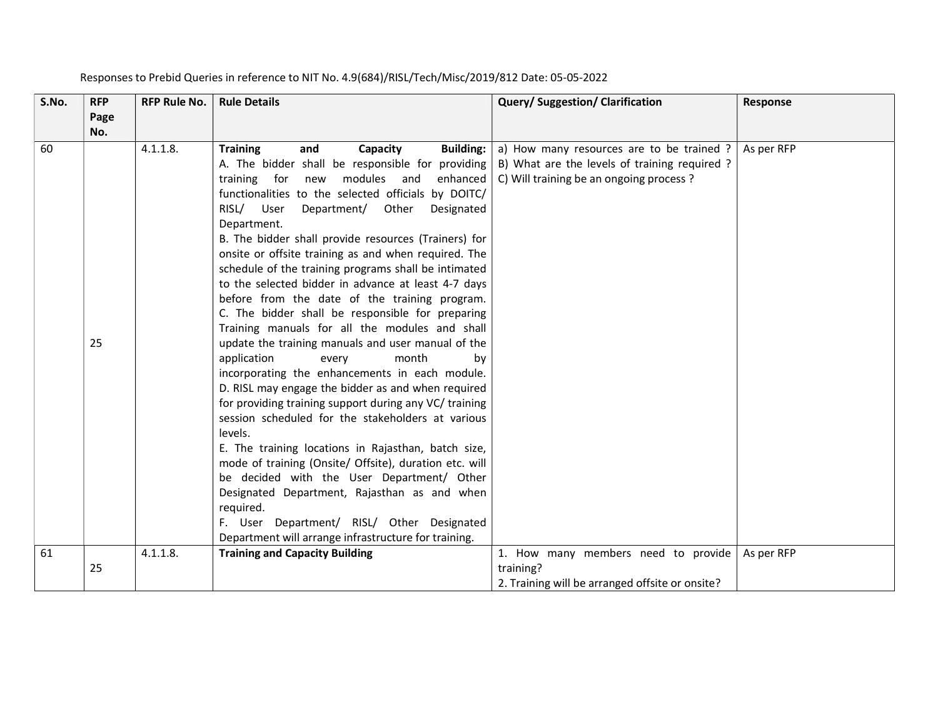| S.No. | <b>RFP</b>  | <b>RFP Rule No.</b> | <b>Rule Details</b>                                                                                                                          | Query/Suggestion/Clarification                                                                                                        | Response   |
|-------|-------------|---------------------|----------------------------------------------------------------------------------------------------------------------------------------------|---------------------------------------------------------------------------------------------------------------------------------------|------------|
|       | Page<br>No. |                     |                                                                                                                                              |                                                                                                                                       |            |
| 60    |             | 4.1.1.8.            | <b>Training</b><br>and<br>Capacity<br><b>Building:</b><br>A. The bidder shall be responsible for providing<br>modules and<br>enhanced<br>new | a) How many resources are to be trained ?<br>B) What are the levels of training required ?<br>C) Will training be an ongoing process? | As per RFP |
|       |             |                     | training for<br>functionalities to the selected officials by DOITC/                                                                          |                                                                                                                                       |            |
|       |             |                     | RISL/ User<br>Department/<br>Other<br>Designated<br>Department.                                                                              |                                                                                                                                       |            |
|       |             |                     | B. The bidder shall provide resources (Trainers) for                                                                                         |                                                                                                                                       |            |
|       |             |                     | onsite or offsite training as and when required. The                                                                                         |                                                                                                                                       |            |
|       |             |                     | schedule of the training programs shall be intimated<br>to the selected bidder in advance at least 4-7 days                                  |                                                                                                                                       |            |
|       |             |                     | before from the date of the training program.                                                                                                |                                                                                                                                       |            |
|       |             |                     | C. The bidder shall be responsible for preparing<br>Training manuals for all the modules and shall                                           |                                                                                                                                       |            |
|       | 25          |                     | update the training manuals and user manual of the                                                                                           |                                                                                                                                       |            |
|       |             |                     | application<br>month<br>every<br>by<br>incorporating the enhancements in each module.                                                        |                                                                                                                                       |            |
|       |             |                     | D. RISL may engage the bidder as and when required                                                                                           |                                                                                                                                       |            |
|       |             |                     | for providing training support during any VC/ training<br>session scheduled for the stakeholders at various                                  |                                                                                                                                       |            |
|       |             |                     | levels.                                                                                                                                      |                                                                                                                                       |            |
|       |             |                     | E. The training locations in Rajasthan, batch size,<br>mode of training (Onsite/ Offsite), duration etc. will                                |                                                                                                                                       |            |
|       |             |                     | be decided with the User Department/ Other                                                                                                   |                                                                                                                                       |            |
|       |             |                     | Designated Department, Rajasthan as and when                                                                                                 |                                                                                                                                       |            |
|       |             |                     | required.<br>F. User Department/ RISL/ Other Designated                                                                                      |                                                                                                                                       |            |
|       |             |                     | Department will arrange infrastructure for training.                                                                                         |                                                                                                                                       |            |
| 61    |             | 4.1.1.8.            | <b>Training and Capacity Building</b>                                                                                                        | 1. How many members need to provide                                                                                                   | As per RFP |
|       | 25          |                     |                                                                                                                                              | training?<br>2. Training will be arranged offsite or onsite?                                                                          |            |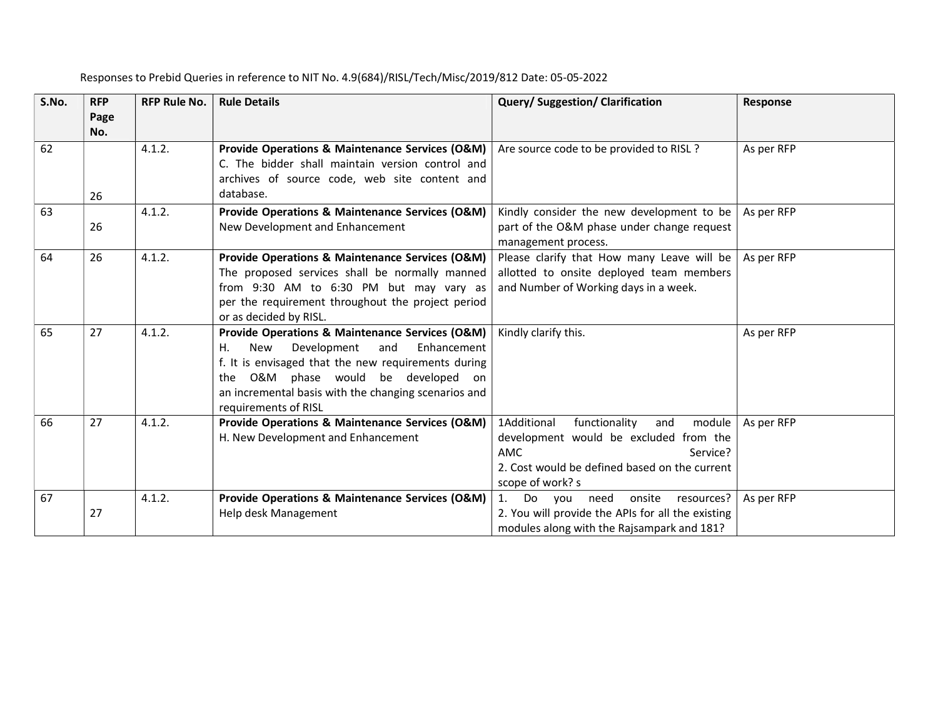| S.No. | <b>RFP</b>  | <b>RFP Rule No.</b> | <b>Rule Details</b>                                                                                                                                                                                                                                                                       | <b>Query/Suggestion/Clarification</b>                                                                                                                                                  | Response   |
|-------|-------------|---------------------|-------------------------------------------------------------------------------------------------------------------------------------------------------------------------------------------------------------------------------------------------------------------------------------------|----------------------------------------------------------------------------------------------------------------------------------------------------------------------------------------|------------|
|       | Page<br>No. |                     |                                                                                                                                                                                                                                                                                           |                                                                                                                                                                                        |            |
| 62    |             | 4.1.2.              | Provide Operations & Maintenance Services (O&M)<br>C. The bidder shall maintain version control and<br>archives of source code, web site content and                                                                                                                                      | Are source code to be provided to RISL ?                                                                                                                                               | As per RFP |
|       | 26          |                     | database.                                                                                                                                                                                                                                                                                 |                                                                                                                                                                                        |            |
| 63    | 26          | 4.1.2.              | Provide Operations & Maintenance Services (O&M)<br>New Development and Enhancement                                                                                                                                                                                                        | Kindly consider the new development to be<br>part of the O&M phase under change request<br>management process.                                                                         | As per RFP |
| 64    | 26          | 4.1.2.              | Provide Operations & Maintenance Services (O&M)<br>The proposed services shall be normally manned<br>from 9:30 AM to 6:30 PM but may vary as<br>per the requirement throughout the project period<br>or as decided by RISL.                                                               | Please clarify that How many Leave will be<br>allotted to onsite deployed team members<br>and Number of Working days in a week.                                                        | As per RFP |
| 65    | 27          | 4.1.2.              | Provide Operations & Maintenance Services (O&M)<br>Development<br>Enhancement<br><b>New</b><br>and<br>Η.<br>f. It is envisaged that the new requirements during<br>O&M phase would be developed on<br>the<br>an incremental basis with the changing scenarios and<br>requirements of RISL | Kindly clarify this.                                                                                                                                                                   | As per RFP |
| 66    | 27          | 4.1.2.              | Provide Operations & Maintenance Services (O&M)<br>H. New Development and Enhancement                                                                                                                                                                                                     | 1Additional<br>functionality<br>module<br>and<br>development would be excluded from the<br><b>AMC</b><br>Service?<br>2. Cost would be defined based on the current<br>scope of work? s | As per RFP |
| 67    | 27          | 4.1.2.              | Provide Operations & Maintenance Services (O&M)<br>Help desk Management                                                                                                                                                                                                                   | Do<br>you need onsite<br>1.<br>resources?<br>2. You will provide the APIs for all the existing<br>modules along with the Rajsampark and 181?                                           | As per RFP |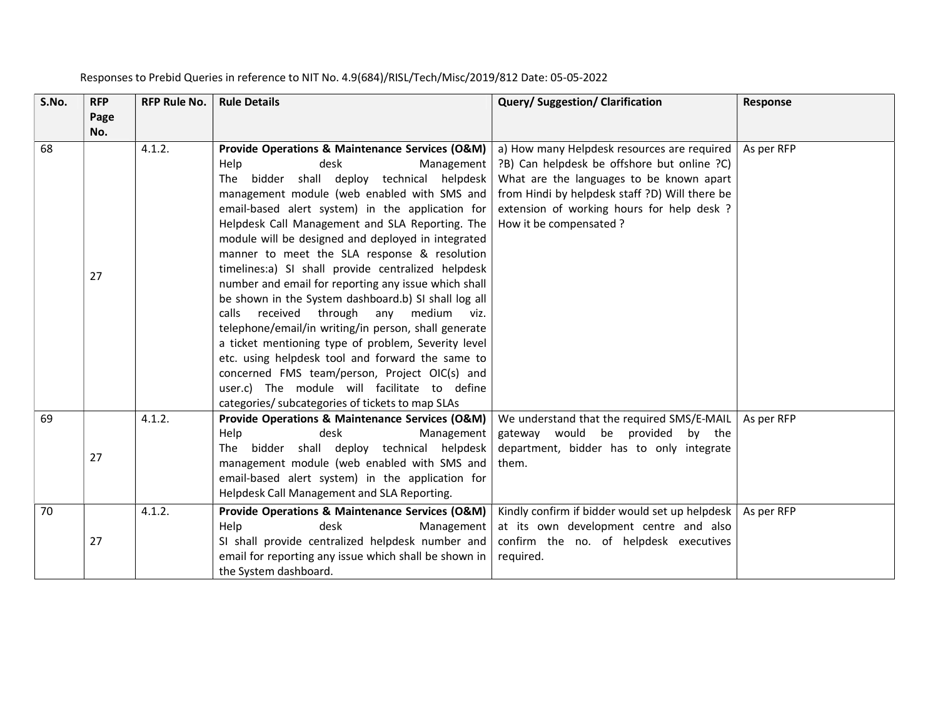| S.No. | <b>RFP</b>  | <b>RFP Rule No.</b> | <b>Rule Details</b>                                                                                                                                                                                                                                                                                                                                                                                                                                                                                                                                                                                                                                                                                                                                                                                                                                                                                                                      | Query/ Suggestion/ Clarification                                                                                                                                                                                                                                 | Response   |
|-------|-------------|---------------------|------------------------------------------------------------------------------------------------------------------------------------------------------------------------------------------------------------------------------------------------------------------------------------------------------------------------------------------------------------------------------------------------------------------------------------------------------------------------------------------------------------------------------------------------------------------------------------------------------------------------------------------------------------------------------------------------------------------------------------------------------------------------------------------------------------------------------------------------------------------------------------------------------------------------------------------|------------------------------------------------------------------------------------------------------------------------------------------------------------------------------------------------------------------------------------------------------------------|------------|
|       | Page<br>No. |                     |                                                                                                                                                                                                                                                                                                                                                                                                                                                                                                                                                                                                                                                                                                                                                                                                                                                                                                                                          |                                                                                                                                                                                                                                                                  |            |
| 68    | 27          | 4.1.2.              | Provide Operations & Maintenance Services (O&M)<br>desk<br>Help<br>Management<br>The bidder shall deploy technical helpdesk<br>management module (web enabled with SMS and<br>email-based alert system) in the application for<br>Helpdesk Call Management and SLA Reporting. The<br>module will be designed and deployed in integrated<br>manner to meet the SLA response & resolution<br>timelines:a) SI shall provide centralized helpdesk<br>number and email for reporting any issue which shall<br>be shown in the System dashboard.b) SI shall log all<br>received through<br>any<br>medium viz.<br>calls<br>telephone/email/in writing/in person, shall generate<br>a ticket mentioning type of problem, Severity level<br>etc. using helpdesk tool and forward the same to<br>concerned FMS team/person, Project OIC(s) and<br>user.c) The module will facilitate to define<br>categories/ subcategories of tickets to map SLAs | a) How many Helpdesk resources are required<br>?B) Can helpdesk be offshore but online ?C)<br>What are the languages to be known apart<br>from Hindi by helpdesk staff ?D) Will there be<br>extension of working hours for help desk ?<br>How it be compensated? | As per RFP |
| 69    | 27          | 4.1.2.              | Provide Operations & Maintenance Services (O&M)<br>Help<br>desk<br>Management<br>The bidder shall deploy technical helpdesk<br>management module (web enabled with SMS and<br>email-based alert system) in the application for<br>Helpdesk Call Management and SLA Reporting.                                                                                                                                                                                                                                                                                                                                                                                                                                                                                                                                                                                                                                                            | We understand that the required SMS/E-MAIL<br>gateway would be provided<br>by the<br>department, bidder has to only integrate<br>them.                                                                                                                           | As per RFP |
| 70    | 27          | 4.1.2.              | Provide Operations & Maintenance Services (O&M)<br>Help<br>desk<br>Management<br>SI shall provide centralized helpdesk number and<br>email for reporting any issue which shall be shown in<br>the System dashboard.                                                                                                                                                                                                                                                                                                                                                                                                                                                                                                                                                                                                                                                                                                                      | Kindly confirm if bidder would set up helpdesk<br>at its own development centre and also<br>confirm the no. of helpdesk executives<br>required.                                                                                                                  | As per RFP |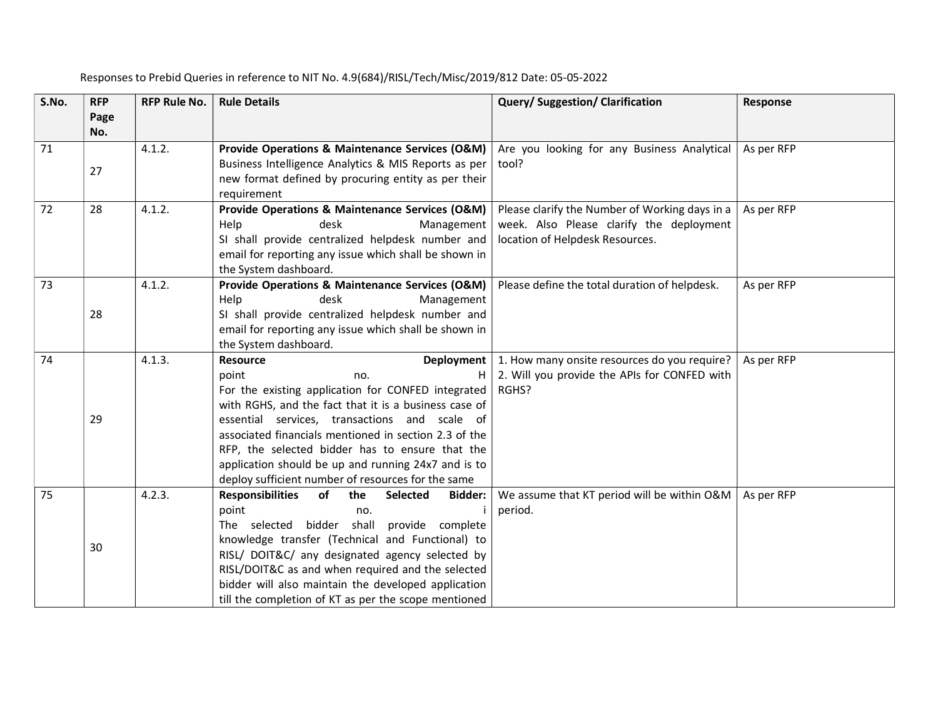| S.No. | <b>RFP</b><br>Page | <b>RFP Rule No.</b> | <b>Rule Details</b>                                                            | Query/Suggestion/Clarification                 | Response   |
|-------|--------------------|---------------------|--------------------------------------------------------------------------------|------------------------------------------------|------------|
|       | No.                |                     |                                                                                |                                                |            |
| 71    |                    | 4.1.2.              | Provide Operations & Maintenance Services (O&M)                                | Are you looking for any Business Analytical    | As per RFP |
|       | 27                 |                     | Business Intelligence Analytics & MIS Reports as per                           | tool?                                          |            |
|       |                    |                     | new format defined by procuring entity as per their                            |                                                |            |
|       |                    |                     | requirement                                                                    |                                                |            |
| 72    | 28                 | 4.1.2.              | Provide Operations & Maintenance Services (O&M)                                | Please clarify the Number of Working days in a | As per RFP |
|       |                    |                     | desk<br>Management<br>Help                                                     | week. Also Please clarify the deployment       |            |
|       |                    |                     | SI shall provide centralized helpdesk number and                               | location of Helpdesk Resources.                |            |
|       |                    |                     | email for reporting any issue which shall be shown in                          |                                                |            |
|       |                    |                     | the System dashboard.                                                          |                                                |            |
| 73    |                    | 4.1.2.              | Provide Operations & Maintenance Services (O&M)                                | Please define the total duration of helpdesk.  | As per RFP |
|       | 28                 |                     | Help<br>desk<br>Management<br>SI shall provide centralized helpdesk number and |                                                |            |
|       |                    |                     | email for reporting any issue which shall be shown in                          |                                                |            |
|       |                    |                     | the System dashboard.                                                          |                                                |            |
| 74    |                    | 4.1.3.              | <b>Resource</b><br>Deployment                                                  | 1. How many onsite resources do you require?   | As per RFP |
|       |                    |                     | point<br>н<br>no.                                                              | 2. Will you provide the APIs for CONFED with   |            |
|       |                    |                     | For the existing application for CONFED integrated                             | RGHS?                                          |            |
|       |                    |                     | with RGHS, and the fact that it is a business case of                          |                                                |            |
|       | 29                 |                     | essential services, transactions and scale of                                  |                                                |            |
|       |                    |                     | associated financials mentioned in section 2.3 of the                          |                                                |            |
|       |                    |                     | RFP, the selected bidder has to ensure that the                                |                                                |            |
|       |                    |                     | application should be up and running 24x7 and is to                            |                                                |            |
|       |                    |                     | deploy sufficient number of resources for the same                             |                                                |            |
| 75    |                    | 4.2.3.              | <b>Responsibilities</b><br>of<br>the<br><b>Selected</b><br>Bidder:             | We assume that KT period will be within O&M    | As per RFP |
|       |                    |                     | point<br>no.                                                                   | period.                                        |            |
|       |                    |                     | The selected bidder shall provide complete                                     |                                                |            |
|       | 30                 |                     | knowledge transfer (Technical and Functional) to                               |                                                |            |
|       |                    |                     | RISL/ DOIT&C/ any designated agency selected by                                |                                                |            |
|       |                    |                     | RISL/DOIT&C as and when required and the selected                              |                                                |            |
|       |                    |                     | bidder will also maintain the developed application                            |                                                |            |
|       |                    |                     | till the completion of KT as per the scope mentioned                           |                                                |            |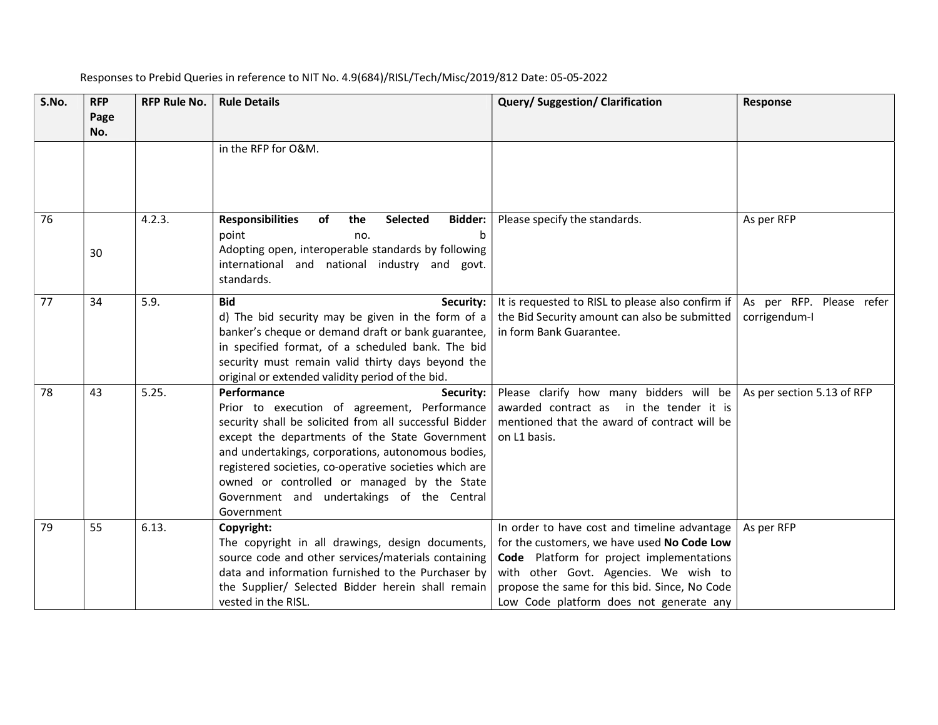| S.No. | <b>RFP</b><br>Page<br>No. | <b>RFP Rule No.</b> | <b>Rule Details</b>                                                                                                                                                                                                                                                                                                                                                                                             | Query/ Suggestion/ Clarification                                                                                                                                                                                                                                              | Response                                  |
|-------|---------------------------|---------------------|-----------------------------------------------------------------------------------------------------------------------------------------------------------------------------------------------------------------------------------------------------------------------------------------------------------------------------------------------------------------------------------------------------------------|-------------------------------------------------------------------------------------------------------------------------------------------------------------------------------------------------------------------------------------------------------------------------------|-------------------------------------------|
|       |                           |                     | in the RFP for O&M.                                                                                                                                                                                                                                                                                                                                                                                             |                                                                                                                                                                                                                                                                               |                                           |
| 76    | 30                        | 4.2.3.              | <b>Responsibilities</b><br>of<br>the<br>Selected<br>Bidder:<br>point<br>$\mathbf b$<br>no.<br>Adopting open, interoperable standards by following<br>international and national industry and govt.<br>standards.                                                                                                                                                                                                | Please specify the standards.                                                                                                                                                                                                                                                 | As per RFP                                |
| 77    | 34                        | 5.9.                | <b>Bid</b><br>Security:<br>d) The bid security may be given in the form of a<br>banker's cheque or demand draft or bank guarantee,<br>in specified format, of a scheduled bank. The bid<br>security must remain valid thirty days beyond the<br>original or extended validity period of the bid.                                                                                                                | It is requested to RISL to please also confirm if<br>the Bid Security amount can also be submitted<br>in form Bank Guarantee.                                                                                                                                                 | As per RFP. Please refer<br>corrigendum-I |
| 78    | 43                        | 5.25.               | Performance<br>Security:<br>Prior to execution of agreement, Performance<br>security shall be solicited from all successful Bidder<br>except the departments of the State Government<br>and undertakings, corporations, autonomous bodies,<br>registered societies, co-operative societies which are<br>owned or controlled or managed by the State<br>Government and undertakings of the Central<br>Government | Please clarify how many bidders will be<br>awarded contract as in the tender it is<br>mentioned that the award of contract will be<br>on L1 basis.                                                                                                                            | As per section 5.13 of RFP                |
| 79    | 55                        | 6.13.               | Copyright:<br>The copyright in all drawings, design documents,<br>source code and other services/materials containing<br>data and information furnished to the Purchaser by<br>the Supplier/ Selected Bidder herein shall remain<br>vested in the RISL.                                                                                                                                                         | In order to have cost and timeline advantage<br>for the customers, we have used No Code Low<br>Code Platform for project implementations<br>with other Govt. Agencies. We wish to<br>propose the same for this bid. Since, No Code<br>Low Code platform does not generate any | As per RFP                                |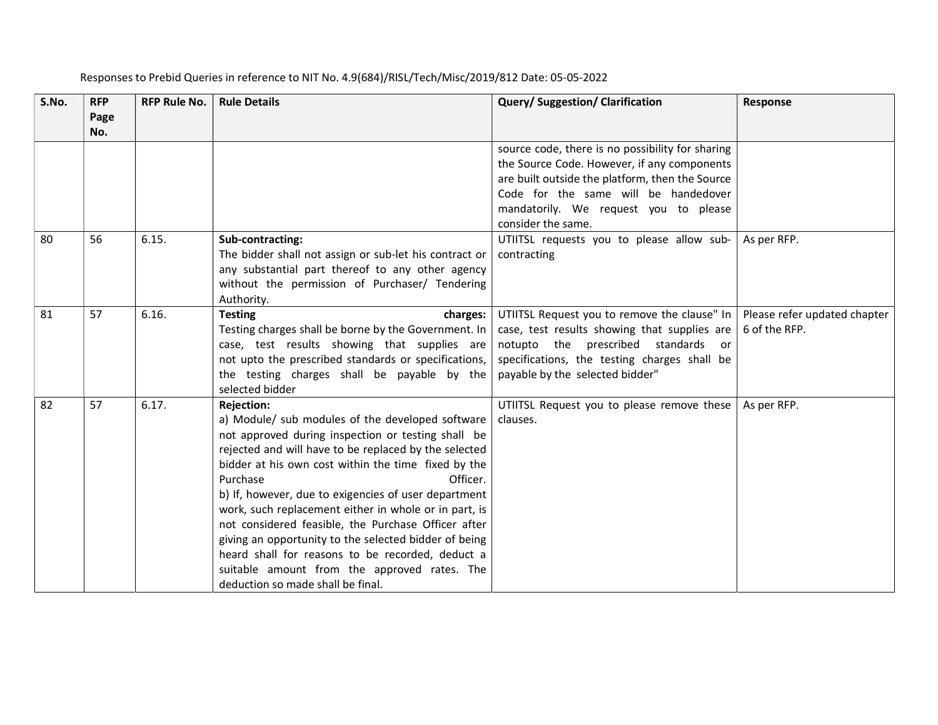| S.No. | <b>RFP</b><br>Page<br>No. | <b>RFP Rule No.</b> | <b>Rule Details</b>                                                                                                                                                                                                                                                                                                                                                                                                                                                                                                                                                                                                                           | Query/Suggestion/Clarification                                                                                                                                                                                                                            | Response                                      |
|-------|---------------------------|---------------------|-----------------------------------------------------------------------------------------------------------------------------------------------------------------------------------------------------------------------------------------------------------------------------------------------------------------------------------------------------------------------------------------------------------------------------------------------------------------------------------------------------------------------------------------------------------------------------------------------------------------------------------------------|-----------------------------------------------------------------------------------------------------------------------------------------------------------------------------------------------------------------------------------------------------------|-----------------------------------------------|
|       |                           |                     |                                                                                                                                                                                                                                                                                                                                                                                                                                                                                                                                                                                                                                               | source code, there is no possibility for sharing<br>the Source Code. However, if any components<br>are built outside the platform, then the Source<br>Code for the same will be handedover<br>mandatorily. We request you to please<br>consider the same. |                                               |
| 80    | 56                        | 6.15.               | Sub-contracting:<br>The bidder shall not assign or sub-let his contract or<br>any substantial part thereof to any other agency<br>without the permission of Purchaser/ Tendering<br>Authority.                                                                                                                                                                                                                                                                                                                                                                                                                                                | UTIITSL requests you to please allow sub-<br>contracting                                                                                                                                                                                                  | As per RFP.                                   |
| 81    | 57                        | 6.16.               | <b>Testing</b><br>charges:<br>Testing charges shall be borne by the Government. In<br>case, test results showing that supplies are<br>not upto the prescribed standards or specifications,<br>the testing charges shall be payable by the<br>selected bidder                                                                                                                                                                                                                                                                                                                                                                                  | UTIITSL Request you to remove the clause" In<br>case, test results showing that supplies are<br>notupto the prescribed standards or<br>specifications, the testing charges shall be<br>payable by the selected bidder"                                    | Please refer updated chapter<br>6 of the RFP. |
| 82    | 57                        | 6.17.               | <b>Rejection:</b><br>a) Module/ sub modules of the developed software<br>not approved during inspection or testing shall be<br>rejected and will have to be replaced by the selected<br>bidder at his own cost within the time fixed by the<br>Purchase<br>Officer.<br>b) If, however, due to exigencies of user department<br>work, such replacement either in whole or in part, is<br>not considered feasible, the Purchase Officer after<br>giving an opportunity to the selected bidder of being<br>heard shall for reasons to be recorded, deduct a<br>suitable amount from the approved rates. The<br>deduction so made shall be final. | UTIITSL Request you to please remove these<br>clauses.                                                                                                                                                                                                    | As per RFP.                                   |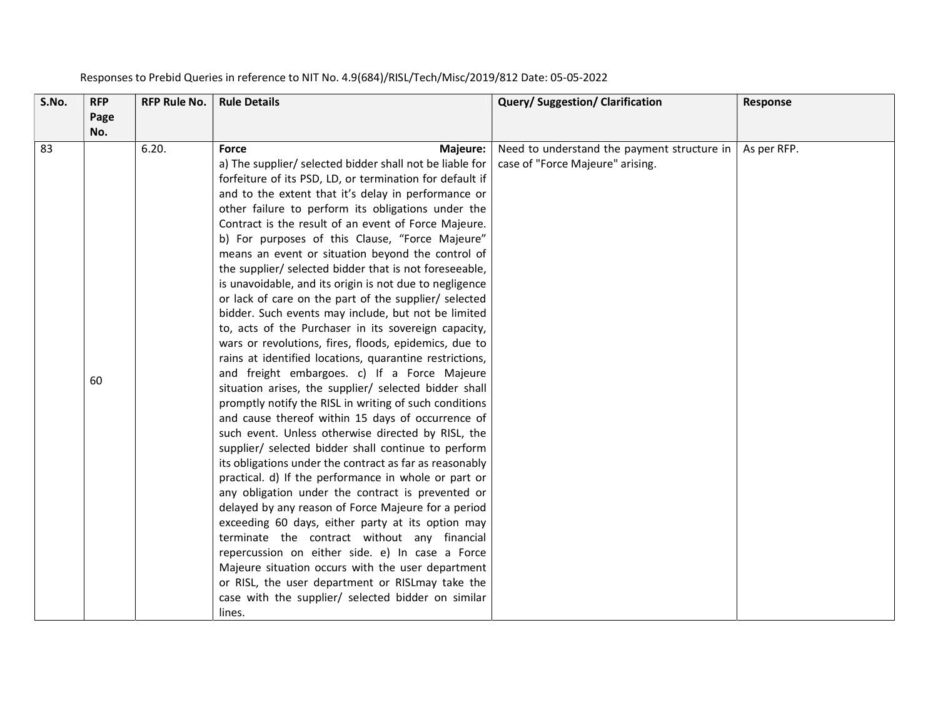| S.No. | <b>RFP</b><br>Page | <b>RFP Rule No.</b> | <b>Rule Details</b>                                                                                                                                                                                                                                                                                                                                                                                                                                                                                                                                                                                                                                                                                                                                                                                                                                                                                                                                                                                                                                                                                                                                                                                                                                                                                                                                                                                                                                                                                                                                                                                                                                                                                                                       | Query/ Suggestion/ Clarification                                                | Response    |
|-------|--------------------|---------------------|-------------------------------------------------------------------------------------------------------------------------------------------------------------------------------------------------------------------------------------------------------------------------------------------------------------------------------------------------------------------------------------------------------------------------------------------------------------------------------------------------------------------------------------------------------------------------------------------------------------------------------------------------------------------------------------------------------------------------------------------------------------------------------------------------------------------------------------------------------------------------------------------------------------------------------------------------------------------------------------------------------------------------------------------------------------------------------------------------------------------------------------------------------------------------------------------------------------------------------------------------------------------------------------------------------------------------------------------------------------------------------------------------------------------------------------------------------------------------------------------------------------------------------------------------------------------------------------------------------------------------------------------------------------------------------------------------------------------------------------------|---------------------------------------------------------------------------------|-------------|
|       | No.                |                     |                                                                                                                                                                                                                                                                                                                                                                                                                                                                                                                                                                                                                                                                                                                                                                                                                                                                                                                                                                                                                                                                                                                                                                                                                                                                                                                                                                                                                                                                                                                                                                                                                                                                                                                                           |                                                                                 |             |
| 83    | 60                 | 6.20.               | <b>Force</b><br>Majeure:<br>a) The supplier/ selected bidder shall not be liable for<br>forfeiture of its PSD, LD, or termination for default if<br>and to the extent that it's delay in performance or<br>other failure to perform its obligations under the<br>Contract is the result of an event of Force Majeure.<br>b) For purposes of this Clause, "Force Majeure"<br>means an event or situation beyond the control of<br>the supplier/ selected bidder that is not foreseeable,<br>is unavoidable, and its origin is not due to negligence<br>or lack of care on the part of the supplier/ selected<br>bidder. Such events may include, but not be limited<br>to, acts of the Purchaser in its sovereign capacity,<br>wars or revolutions, fires, floods, epidemics, due to<br>rains at identified locations, quarantine restrictions,<br>and freight embargoes. c) If a Force Majeure<br>situation arises, the supplier/ selected bidder shall<br>promptly notify the RISL in writing of such conditions<br>and cause thereof within 15 days of occurrence of<br>such event. Unless otherwise directed by RISL, the<br>supplier/ selected bidder shall continue to perform<br>its obligations under the contract as far as reasonably<br>practical. d) If the performance in whole or part or<br>any obligation under the contract is prevented or<br>delayed by any reason of Force Majeure for a period<br>exceeding 60 days, either party at its option may<br>terminate the contract without any financial<br>repercussion on either side. e) In case a Force<br>Majeure situation occurs with the user department<br>or RISL, the user department or RISLmay take the<br>case with the supplier/ selected bidder on similar | Need to understand the payment structure in<br>case of "Force Majeure" arising. | As per RFP. |
|       |                    |                     | lines.                                                                                                                                                                                                                                                                                                                                                                                                                                                                                                                                                                                                                                                                                                                                                                                                                                                                                                                                                                                                                                                                                                                                                                                                                                                                                                                                                                                                                                                                                                                                                                                                                                                                                                                                    |                                                                                 |             |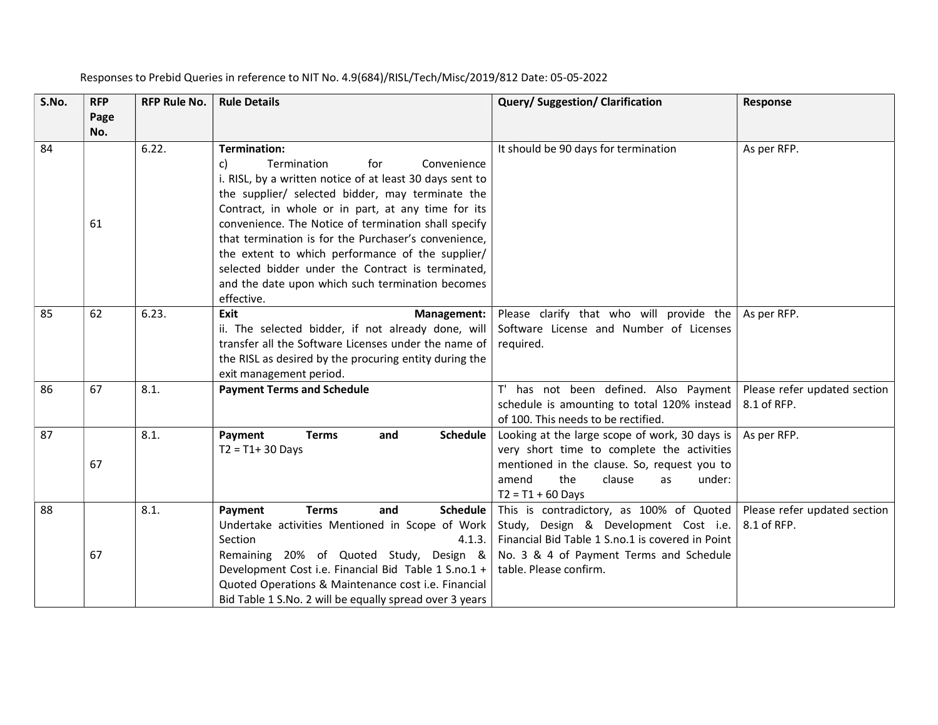| S.No. | <b>RFP</b><br>Page | <b>RFP Rule No.</b> | <b>Rule Details</b>                                                                                   | Query/ Suggestion/ Clarification                                | Response                     |
|-------|--------------------|---------------------|-------------------------------------------------------------------------------------------------------|-----------------------------------------------------------------|------------------------------|
|       | No.                |                     |                                                                                                       |                                                                 |                              |
| 84    |                    | 6.22.               | <b>Termination:</b>                                                                                   | It should be 90 days for termination                            | As per RFP.                  |
|       |                    |                     | for<br>Convenience<br>c)<br>Termination                                                               |                                                                 |                              |
|       |                    |                     | i. RISL, by a written notice of at least 30 days sent to                                              |                                                                 |                              |
|       |                    |                     | the supplier/ selected bidder, may terminate the                                                      |                                                                 |                              |
|       |                    |                     | Contract, in whole or in part, at any time for its                                                    |                                                                 |                              |
|       | 61                 |                     | convenience. The Notice of termination shall specify                                                  |                                                                 |                              |
|       |                    |                     | that termination is for the Purchaser's convenience,                                                  |                                                                 |                              |
|       |                    |                     | the extent to which performance of the supplier/<br>selected bidder under the Contract is terminated, |                                                                 |                              |
|       |                    |                     | and the date upon which such termination becomes                                                      |                                                                 |                              |
|       |                    |                     | effective.                                                                                            |                                                                 |                              |
| 85    | 62                 | 6.23.               | Exit<br>Management:                                                                                   | Please clarify that who will provide the                        | As per RFP.                  |
|       |                    |                     | ii. The selected bidder, if not already done, will                                                    | Software License and Number of Licenses                         |                              |
|       |                    |                     | transfer all the Software Licenses under the name of                                                  | required.                                                       |                              |
|       |                    |                     | the RISL as desired by the procuring entity during the                                                |                                                                 |                              |
|       |                    |                     | exit management period.                                                                               |                                                                 |                              |
| 86    | 67                 | 8.1.                | <b>Payment Terms and Schedule</b>                                                                     | T' has not been defined. Also Payment                           | Please refer updated section |
|       |                    |                     |                                                                                                       | schedule is amounting to total 120% instead                     | 8.1 of RFP.                  |
|       |                    |                     |                                                                                                       | of 100. This needs to be rectified.                             |                              |
| 87    |                    | 8.1.                | Payment<br><b>Terms</b><br>Schedule<br>and                                                            | Looking at the large scope of work, 30 days is                  | As per RFP.                  |
|       |                    |                     | $T2 = T1 + 30$ Days                                                                                   | very short time to complete the activities                      |                              |
|       | 67                 |                     |                                                                                                       | mentioned in the clause. So, request you to                     |                              |
|       |                    |                     |                                                                                                       | the<br>amend<br>under:<br>clause<br>as                          |                              |
| 88    |                    | 8.1.                | <b>Terms</b><br>and<br><b>Schedule</b><br>Payment                                                     | $T2 = T1 + 60$ Days<br>This is contradictory, as 100% of Quoted | Please refer updated section |
|       |                    |                     | Undertake activities Mentioned in Scope of Work                                                       | Study, Design & Development Cost i.e.                           | 8.1 of RFP.                  |
|       |                    |                     | Section<br>4.1.3.                                                                                     | Financial Bid Table 1 S.no.1 is covered in Point                |                              |
|       | 67                 |                     | Remaining 20% of Quoted Study, Design &                                                               | No. 3 & 4 of Payment Terms and Schedule                         |                              |
|       |                    |                     | Development Cost i.e. Financial Bid Table 1 S.no.1 +                                                  | table. Please confirm.                                          |                              |
|       |                    |                     | Quoted Operations & Maintenance cost i.e. Financial                                                   |                                                                 |                              |
|       |                    |                     | Bid Table 1 S.No. 2 will be equally spread over 3 years                                               |                                                                 |                              |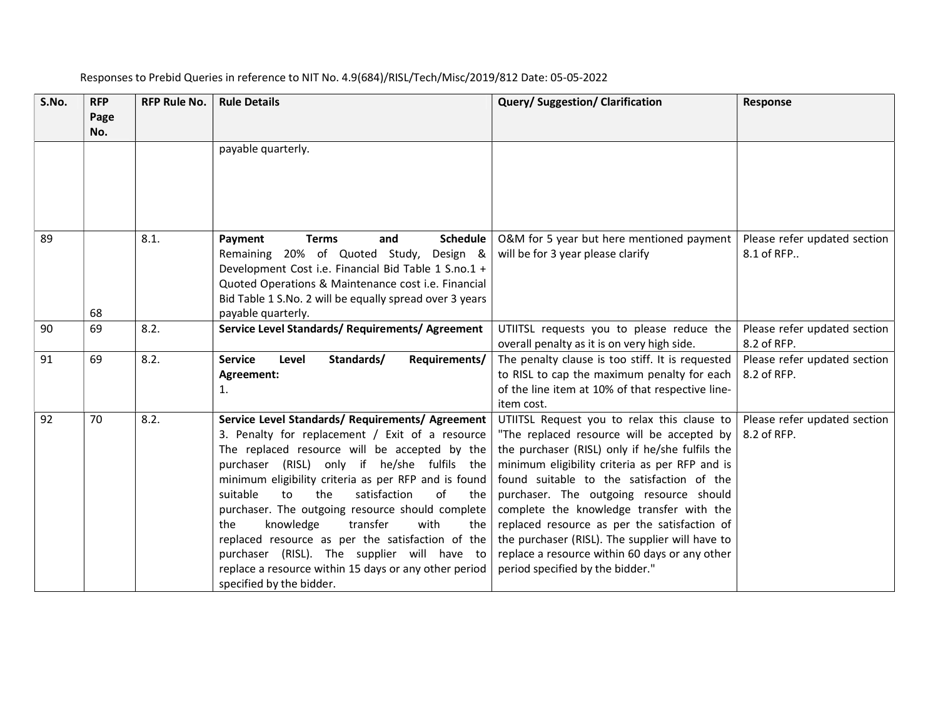| S.No. | <b>RFP</b><br>Page<br>No. | <b>RFP Rule No.</b> | <b>Rule Details</b>                                                                                                                                                                                                                                                                                                                                                                                                                                                                                                                                                                                            | <b>Query/Suggestion/Clarification</b>                                                                                                                                                                                                                                                                                                                                                                                                                                                                                       | <b>Response</b>                             |
|-------|---------------------------|---------------------|----------------------------------------------------------------------------------------------------------------------------------------------------------------------------------------------------------------------------------------------------------------------------------------------------------------------------------------------------------------------------------------------------------------------------------------------------------------------------------------------------------------------------------------------------------------------------------------------------------------|-----------------------------------------------------------------------------------------------------------------------------------------------------------------------------------------------------------------------------------------------------------------------------------------------------------------------------------------------------------------------------------------------------------------------------------------------------------------------------------------------------------------------------|---------------------------------------------|
|       |                           |                     | payable quarterly.                                                                                                                                                                                                                                                                                                                                                                                                                                                                                                                                                                                             |                                                                                                                                                                                                                                                                                                                                                                                                                                                                                                                             |                                             |
| 89    | 68                        | 8.1.                | <b>Terms</b><br>Schedule<br>Payment<br>and<br>Remaining 20% of Quoted Study, Design &<br>Development Cost i.e. Financial Bid Table 1 S.no.1 +<br>Quoted Operations & Maintenance cost i.e. Financial<br>Bid Table 1 S.No. 2 will be equally spread over 3 years<br>payable quarterly.                                                                                                                                                                                                                                                                                                                          | O&M for 5 year but here mentioned payment<br>will be for 3 year please clarify                                                                                                                                                                                                                                                                                                                                                                                                                                              | Please refer updated section<br>8.1 of RFP  |
| 90    | 69                        | 8.2.                | Service Level Standards/ Requirements/ Agreement                                                                                                                                                                                                                                                                                                                                                                                                                                                                                                                                                               | UTIITSL requests you to please reduce the<br>overall penalty as it is on very high side.                                                                                                                                                                                                                                                                                                                                                                                                                                    | Please refer updated section<br>8.2 of RFP. |
| 91    | 69                        | 8.2.                | <b>Service</b><br>Standards/<br>Level<br>Requirements/<br>Agreement:<br>1.                                                                                                                                                                                                                                                                                                                                                                                                                                                                                                                                     | The penalty clause is too stiff. It is requested<br>to RISL to cap the maximum penalty for each<br>of the line item at 10% of that respective line-<br>item cost.                                                                                                                                                                                                                                                                                                                                                           | Please refer updated section<br>8.2 of RFP. |
| 92    | 70                        | 8.2.                | Service Level Standards/ Requirements/ Agreement  <br>3. Penalty for replacement / Exit of a resource<br>The replaced resource will be accepted by the<br>purchaser (RISL) only if he/she fulfils the<br>minimum eligibility criteria as per RFP and is found<br>the<br>satisfaction<br>of<br>suitable<br>to<br>the<br>purchaser. The outgoing resource should complete<br>knowledge<br>transfer<br>with<br>the<br>the<br>replaced resource as per the satisfaction of the<br>purchaser (RISL). The supplier will have to<br>replace a resource within 15 days or any other period<br>specified by the bidder. | UTIITSL Request you to relax this clause to<br>"The replaced resource will be accepted by<br>the purchaser (RISL) only if he/she fulfils the<br>minimum eligibility criteria as per RFP and is<br>found suitable to the satisfaction of the<br>purchaser. The outgoing resource should<br>complete the knowledge transfer with the<br>replaced resource as per the satisfaction of<br>the purchaser (RISL). The supplier will have to<br>replace a resource within 60 days or any other<br>period specified by the bidder." | Please refer updated section<br>8.2 of RFP. |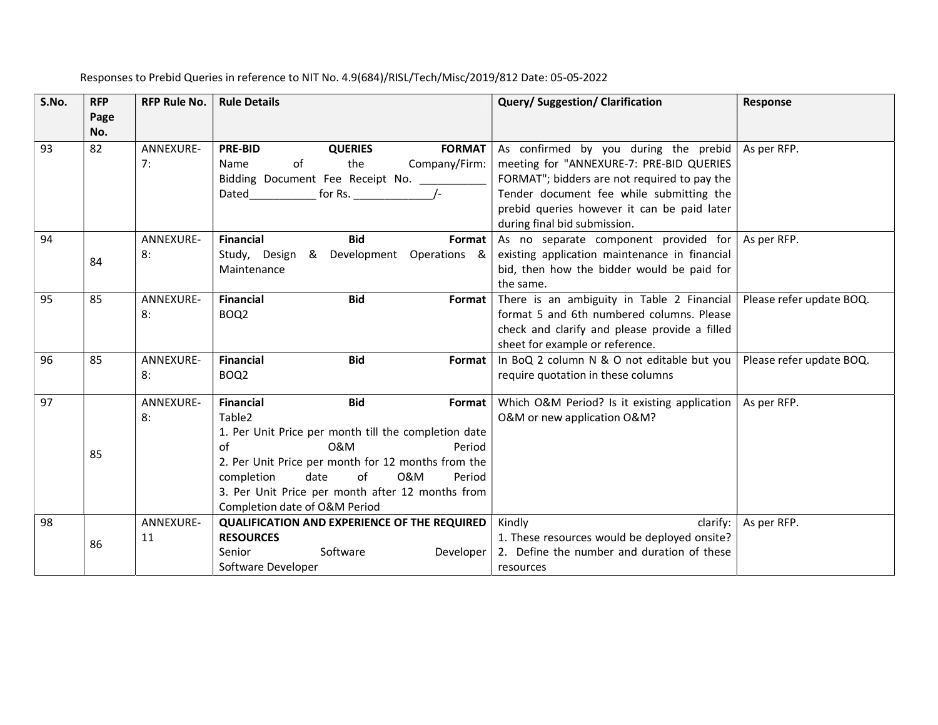| S.No. | <b>RFP</b>  | <b>RFP Rule No.</b> | <b>Rule Details</b>                                  | <b>Query/Suggestion/Clarification</b>         | Response                 |
|-------|-------------|---------------------|------------------------------------------------------|-----------------------------------------------|--------------------------|
|       | Page<br>No. |                     |                                                      |                                               |                          |
| 93    | 82          | ANNEXURE-           | <b>PRE-BID</b><br><b>QUERIES</b><br><b>FORMAT</b>    | As confirmed by you during the prebid         | As per RFP.              |
|       |             | 7:                  | the<br>Company/Firm:<br>of<br>Name                   | meeting for "ANNEXURE-7: PRE-BID QUERIES      |                          |
|       |             |                     | Bidding Document Fee Receipt No. ______              | FORMAT"; bidders are not required to pay the  |                          |
|       |             |                     | for Rs. $/$ -<br>Dated                               | Tender document fee while submitting the      |                          |
|       |             |                     |                                                      | prebid queries however it can be paid later   |                          |
|       |             |                     |                                                      | during final bid submission.                  |                          |
| 94    |             | ANNEXURE-           | <b>Financial</b><br><b>Bid</b><br>Format             | As no separate component provided for         | As per RFP.              |
|       | 84          | 8:                  | & Development<br>Operations &<br>Study, Design       | existing application maintenance in financial |                          |
|       |             |                     | Maintenance                                          | bid, then how the bidder would be paid for    |                          |
|       |             |                     |                                                      | the same.                                     |                          |
| 95    | 85          | ANNEXURE-           | <b>Financial</b><br><b>Bid</b><br>Format             | There is an ambiguity in Table 2 Financial    | Please refer update BOQ. |
|       |             | 8:                  | BOQ <sub>2</sub>                                     | format 5 and 6th numbered columns. Please     |                          |
|       |             |                     |                                                      | check and clarify and please provide a filled |                          |
|       |             |                     |                                                      | sheet for example or reference.               |                          |
| 96    | 85          | ANNEXURE-           | <b>Financial</b><br><b>Bid</b><br>Format             | In BoQ 2 column N & O not editable but you    | Please refer update BOQ. |
|       |             | 8:                  | BOQ <sub>2</sub>                                     | require quotation in these columns            |                          |
| 97    |             | ANNEXURE-           | <b>Financial</b><br><b>Bid</b><br>Format             | Which O&M Period? Is it existing application  | As per RFP.              |
|       |             | 8:                  | Table <sub>2</sub>                                   | O&M or new application O&M?                   |                          |
|       |             |                     | 1. Per Unit Price per month till the completion date |                                               |                          |
|       | 85          |                     | of<br>0&M<br>Period                                  |                                               |                          |
|       |             |                     | 2. Per Unit Price per month for 12 months from the   |                                               |                          |
|       |             |                     | of<br>0&M<br>completion<br>date<br>Period            |                                               |                          |
|       |             |                     | 3. Per Unit Price per month after 12 months from     |                                               |                          |
|       |             |                     | Completion date of O&M Period                        |                                               |                          |
| 98    |             | ANNEXURE-           | <b>QUALIFICATION AND EXPERIENCE OF THE REQUIRED</b>  | Kindly<br>clarify:                            | As per RFP.              |
|       | 86          | 11                  | <b>RESOURCES</b>                                     | 1. These resources would be deployed onsite?  |                          |
|       |             |                     | Software<br>Developer<br>Senior                      | 2. Define the number and duration of these    |                          |
|       |             |                     | Software Developer                                   | resources                                     |                          |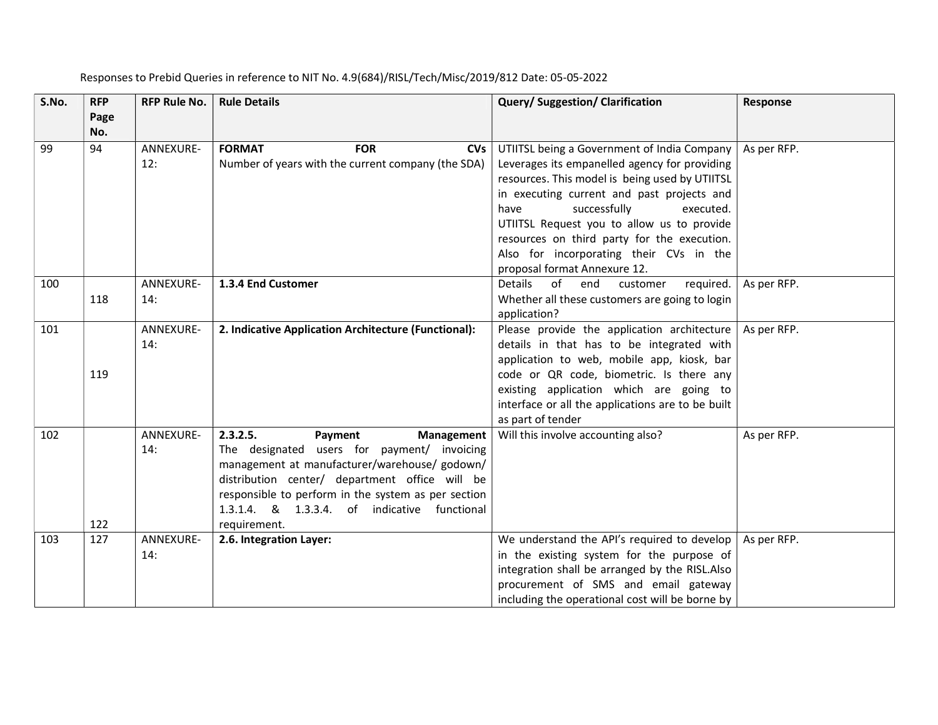| S.No. | <b>RFP</b>  | <b>RFP Rule No.</b> | <b>Rule Details</b>                                                                                                                                                                                                                                                                                        | Query/ Suggestion/ Clarification                                                                                                                                                                                                                                                                                                                                                                          | <b>Response</b> |
|-------|-------------|---------------------|------------------------------------------------------------------------------------------------------------------------------------------------------------------------------------------------------------------------------------------------------------------------------------------------------------|-----------------------------------------------------------------------------------------------------------------------------------------------------------------------------------------------------------------------------------------------------------------------------------------------------------------------------------------------------------------------------------------------------------|-----------------|
|       | Page<br>No. |                     |                                                                                                                                                                                                                                                                                                            |                                                                                                                                                                                                                                                                                                                                                                                                           |                 |
| 99    | 94          | ANNEXURE-<br>12:    | <b>FOR</b><br><b>FORMAT</b><br><b>CVs</b><br>Number of years with the current company (the SDA)                                                                                                                                                                                                            | UTIITSL being a Government of India Company<br>Leverages its empanelled agency for providing<br>resources. This model is being used by UTIITSL<br>in executing current and past projects and<br>successfully<br>have<br>executed.<br>UTIITSL Request you to allow us to provide<br>resources on third party for the execution.<br>Also for incorporating their CVs in the<br>proposal format Annexure 12. | As per RFP.     |
| 100   | 118         | ANNEXURE-<br>14:    | 1.3.4 End Customer                                                                                                                                                                                                                                                                                         | Details of end<br>required.<br>customer<br>Whether all these customers are going to login<br>application?                                                                                                                                                                                                                                                                                                 | As per RFP.     |
| 101   | 119         | ANNEXURE-<br>14:    | 2. Indicative Application Architecture (Functional):                                                                                                                                                                                                                                                       | Please provide the application architecture<br>details in that has to be integrated with<br>application to web, mobile app, kiosk, bar<br>code or QR code, biometric. Is there any<br>existing application which are going to<br>interface or all the applications are to be built<br>as part of tender                                                                                                   | As per RFP.     |
| 102   | 122         | ANNEXURE-<br>14:    | 2.3.2.5.<br>Payment<br>Management<br>The designated users for payment/ invoicing<br>management at manufacturer/warehouse/ godown/<br>distribution center/ department office will be<br>responsible to perform in the system as per section<br>1.3.1.4. & 1.3.3.4. of indicative functional<br>requirement. | Will this involve accounting also?                                                                                                                                                                                                                                                                                                                                                                        | As per RFP.     |
| 103   | 127         | ANNEXURE-<br>14:    | 2.6. Integration Layer:                                                                                                                                                                                                                                                                                    | We understand the API's required to develop<br>in the existing system for the purpose of<br>integration shall be arranged by the RISL.Also<br>procurement of SMS and email gateway<br>including the operational cost will be borne by                                                                                                                                                                     | As per RFP.     |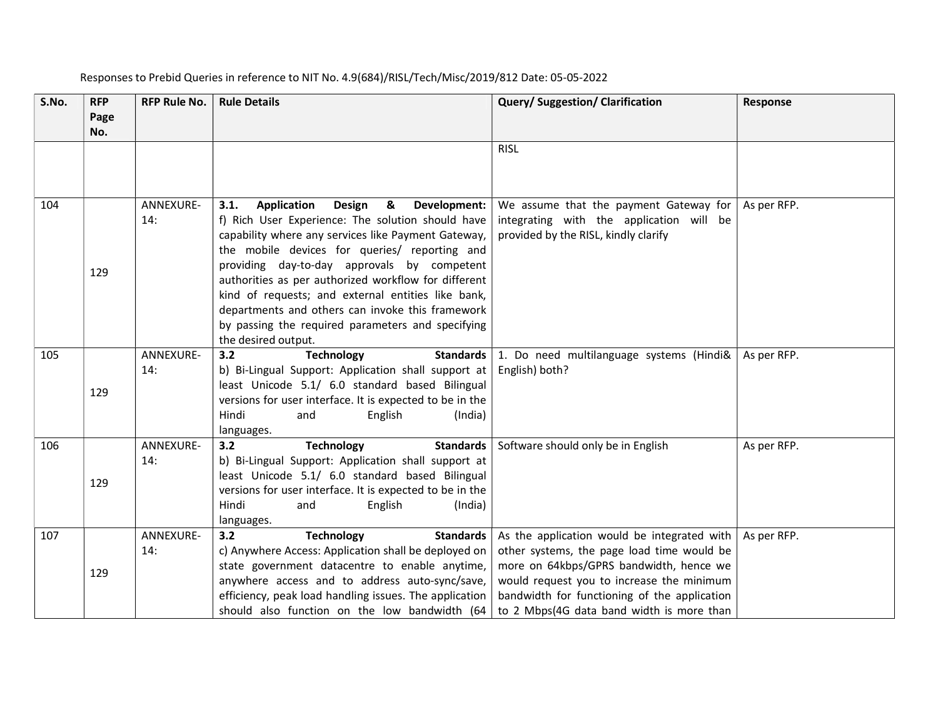| S.No. | <b>RFP</b><br>Page<br>No. | <b>RFP Rule No.</b> | <b>Rule Details</b>                                                                                                                                                                                                                                                                                                                                                                                                                                                                                          | Query/ Suggestion/ Clarification                                                                                                                                                                                                                                               | Response    |
|-------|---------------------------|---------------------|--------------------------------------------------------------------------------------------------------------------------------------------------------------------------------------------------------------------------------------------------------------------------------------------------------------------------------------------------------------------------------------------------------------------------------------------------------------------------------------------------------------|--------------------------------------------------------------------------------------------------------------------------------------------------------------------------------------------------------------------------------------------------------------------------------|-------------|
|       |                           |                     |                                                                                                                                                                                                                                                                                                                                                                                                                                                                                                              | <b>RISL</b>                                                                                                                                                                                                                                                                    |             |
| 104   | 129                       | ANNEXURE-<br>14:    | Design<br>3.1.<br>Application<br>&<br>Development:<br>f) Rich User Experience: The solution should have<br>capability where any services like Payment Gateway,<br>the mobile devices for queries/ reporting and<br>providing day-to-day approvals by competent<br>authorities as per authorized workflow for different<br>kind of requests; and external entities like bank,<br>departments and others can invoke this framework<br>by passing the required parameters and specifying<br>the desired output. | We assume that the payment Gateway for<br>integrating with the application will be<br>provided by the RISL, kindly clarify                                                                                                                                                     | As per RFP. |
| 105   | 129                       | ANNEXURE-<br>14:    | 3.2<br><b>Technology</b><br>Standards  <br>b) Bi-Lingual Support: Application shall support at<br>least Unicode 5.1/ 6.0 standard based Bilingual<br>versions for user interface. It is expected to be in the<br>Hindi<br>English<br>(India)<br>and<br>languages.                                                                                                                                                                                                                                            | 1. Do need multilanguage systems (Hindi&<br>English) both?                                                                                                                                                                                                                     | As per RFP. |
| 106   | 129                       | ANNEXURE-<br>14:    | <b>Standards</b><br>3.2<br><b>Technology</b><br>b) Bi-Lingual Support: Application shall support at<br>least Unicode 5.1/ 6.0 standard based Bilingual<br>versions for user interface. It is expected to be in the<br>Hindi<br>English<br>(India)<br>and<br>languages.                                                                                                                                                                                                                                       | Software should only be in English                                                                                                                                                                                                                                             | As per RFP. |
| 107   | 129                       | ANNEXURE-<br>14:    | 3.2<br><b>Technology</b><br><b>Standards</b><br>c) Anywhere Access: Application shall be deployed on<br>state government datacentre to enable anytime,<br>anywhere access and to address auto-sync/save,<br>efficiency, peak load handling issues. The application<br>should also function on the low bandwidth (64                                                                                                                                                                                          | As the application would be integrated with<br>other systems, the page load time would be<br>more on 64kbps/GPRS bandwidth, hence we<br>would request you to increase the minimum<br>bandwidth for functioning of the application<br>to 2 Mbps(4G data band width is more than | As per RFP. |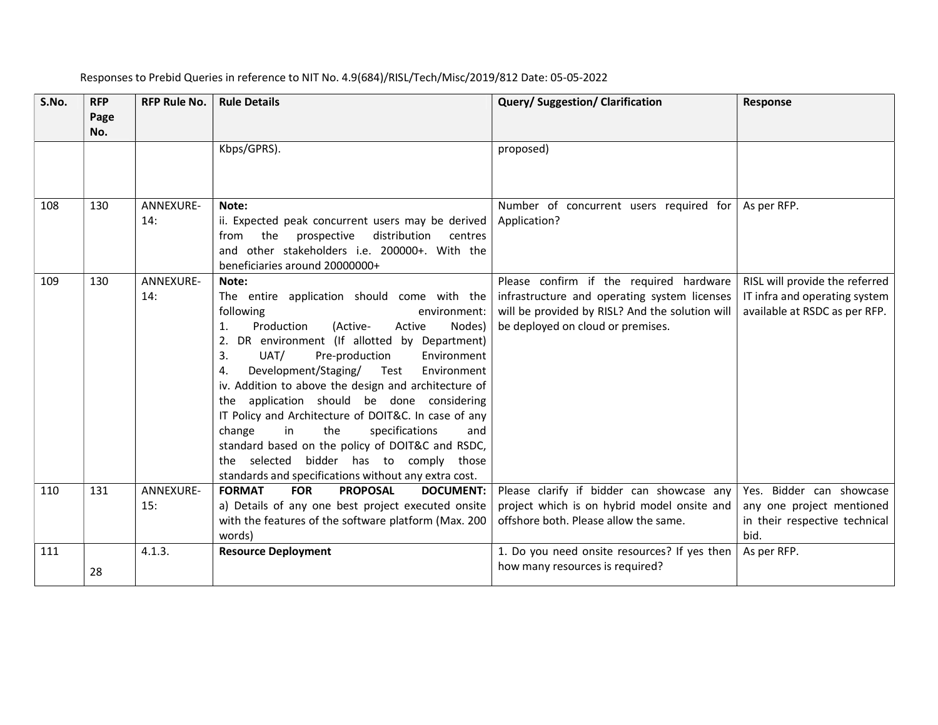| S.No. | <b>RFP</b><br>Page | <b>RFP Rule No.</b> | <b>Rule Details</b>                                                                                                                                                                                                                                                                                                                                                                                                                                                                                                                                                                                                                                                | Query/ Suggestion/ Clarification                                                                                                                                                | <b>Response</b>                                                                                  |
|-------|--------------------|---------------------|--------------------------------------------------------------------------------------------------------------------------------------------------------------------------------------------------------------------------------------------------------------------------------------------------------------------------------------------------------------------------------------------------------------------------------------------------------------------------------------------------------------------------------------------------------------------------------------------------------------------------------------------------------------------|---------------------------------------------------------------------------------------------------------------------------------------------------------------------------------|--------------------------------------------------------------------------------------------------|
|       | No.                |                     |                                                                                                                                                                                                                                                                                                                                                                                                                                                                                                                                                                                                                                                                    |                                                                                                                                                                                 |                                                                                                  |
|       |                    |                     | Kbps/GPRS).                                                                                                                                                                                                                                                                                                                                                                                                                                                                                                                                                                                                                                                        | proposed)                                                                                                                                                                       |                                                                                                  |
| 108   | 130                | ANNEXURE-<br>14:    | Note:<br>ii. Expected peak concurrent users may be derived<br>the<br>prospective<br>distribution<br>from<br>centres<br>and other stakeholders i.e. 200000+. With the<br>beneficiaries around 20000000+                                                                                                                                                                                                                                                                                                                                                                                                                                                             | Number of concurrent users required for<br>Application?                                                                                                                         | As per RFP.                                                                                      |
| 109   | 130                | ANNEXURE-<br>14:    | Note:<br>The entire application should come with the<br>following<br>environment:<br>Production<br>(Active-<br>1.<br>Active<br>Nodes)<br>DR environment (If allotted by Department)<br>2.<br>3.<br>UAT/<br>Pre-production<br>Environment<br>Development/Staging/<br>Test<br>Environment<br>4.<br>iv. Addition to above the design and architecture of<br>the application should be done considering<br>IT Policy and Architecture of DOIT&C. In case of any<br>change<br>in<br>the<br>specifications<br>and<br>standard based on the policy of DOIT&C and RSDC,<br>the selected bidder has to comply those<br>standards and specifications without any extra cost. | Please confirm if the required hardware<br>infrastructure and operating system licenses<br>will be provided by RISL? And the solution will<br>be deployed on cloud or premises. | RISL will provide the referred<br>IT infra and operating system<br>available at RSDC as per RFP. |
| 110   | 131                | ANNEXURE-<br>15:    | <b>FORMAT</b><br><b>FOR</b><br><b>PROPOSAL</b><br><b>DOCUMENT:</b><br>a) Details of any one best project executed onsite<br>with the features of the software platform (Max. 200<br>words)                                                                                                                                                                                                                                                                                                                                                                                                                                                                         | Please clarify if bidder can showcase any<br>project which is on hybrid model onsite and<br>offshore both. Please allow the same.                                               | Yes. Bidder can showcase<br>any one project mentioned<br>in their respective technical<br>bid.   |
| 111   |                    | 4.1.3.              | <b>Resource Deployment</b>                                                                                                                                                                                                                                                                                                                                                                                                                                                                                                                                                                                                                                         | 1. Do you need onsite resources? If yes then                                                                                                                                    | As per RFP.                                                                                      |
|       | 28                 |                     |                                                                                                                                                                                                                                                                                                                                                                                                                                                                                                                                                                                                                                                                    | how many resources is required?                                                                                                                                                 |                                                                                                  |